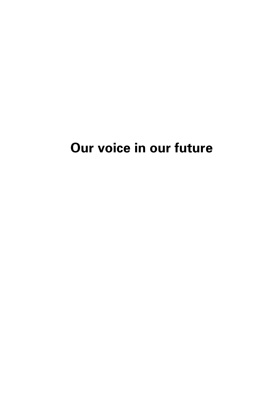## **Our voice in our future**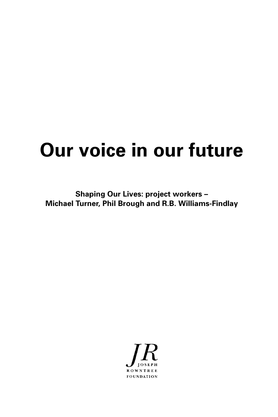# **Our voice in our future**

**Shaping Our Lives: project workers – Michael Turner, Phil Brough and R.B. Williams-Findlay**

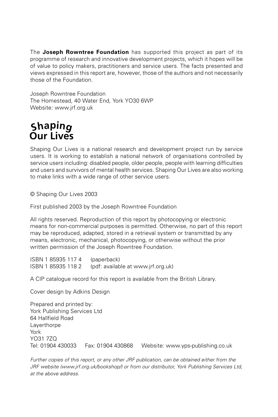The **Joseph Rowntree Foundation** has supported this project as part of its programme of research and innovative development projects, which it hopes will be of value to policy makers, practitioners and service users. The facts presented and views expressed in this report are, however, those of the authors and not necessarily those of the Foundation.

Joseph Rowntree Foundation The Homestead, 40 Water End, York YO30 6WP Website: www.jrf.org.uk

### **Our Lives <sup>S</sup>hapi<sup>n</sup>g**

Shaping Our Lives is a national research and development project run by service users. It is working to establish a national network of organisations controlled by service users including: disabled people, older people, people with learning difficulties and users and survivors of mental health services. Shaping Our Lives are also working to make links with a wide range of other service users.

© Shaping Our Lives 2003

First published 2003 by the Joseph Rowntree Foundation

All rights reserved. Reproduction of this report by photocopying or electronic means for non-commercial purposes is permitted. Otherwise, no part of this report may be reproduced, adapted, stored in a retrieval system or transmitted by any means, electronic, mechanical, photocopying, or otherwise without the prior written permission of the Joseph Rowntree Foundation.

ISBN 1 85935 117 4 (paperback) ISBN 1 85935 118 2 (pdf: available at www.jrf.org.uk)

A CIP catalogue record for this report is available from the British Library.

Cover design by Adkins Design

Prepared and printed by: York Publishing Services Ltd 64 Hallfield Road **Laverthorpe** York YO31 7ZQ Tel: 01904 430033 Fax: 01904 430868 Website: www.yps-publishing.co.uk

Further copies of this report, or any other JRF publication, can be obtained either from the JRF website (www.jrf.org.uk/bookshop/) or from our distributor, York Publishing Services Ltd, at the above address.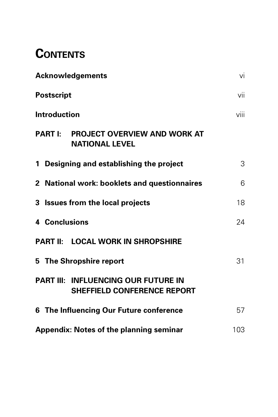## **CONTENTS**

| <b>Acknowledgements</b>                                                          | vi   |
|----------------------------------------------------------------------------------|------|
| <b>Postscript</b>                                                                | vii  |
| <b>Introduction</b>                                                              | viii |
| <b>PART I: PROJECT OVERVIEW AND WORK AT</b><br><b>NATIONAL LEVEL</b>             |      |
| 1 Designing and establishing the project                                         | 3    |
| 2 National work: booklets and questionnaires                                     | 6    |
| 3 Issues from the local projects                                                 | 18   |
| 4 Conclusions                                                                    | 24   |
| PART II: LOCAL WORK IN SHROPSHIRE                                                |      |
| 5 The Shropshire report                                                          | 31   |
| <b>PART III: INFLUENCING OUR FUTURE IN</b><br><b>SHEFFIELD CONFERENCE REPORT</b> |      |
| 6 The Influencing Our Future conference                                          | 57   |
| <b>Appendix: Notes of the planning seminar</b>                                   | 103  |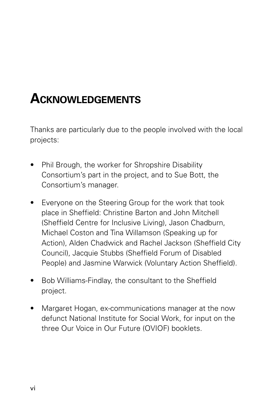## **ACKNOWLEDGEMENTS**

Thanks are particularly due to the people involved with the local projects:

- Phil Brough, the worker for Shropshire Disability Consortium's part in the project, and to Sue Bott, the Consortium's manager.
- Everyone on the Steering Group for the work that took place in Sheffield: Christine Barton and John Mitchell (Sheffield Centre for Inclusive Living), Jason Chadburn, Michael Coston and Tina Willamson (Speaking up for Action), Alden Chadwick and Rachel Jackson (Sheffield City Council), Jacquie Stubbs (Sheffield Forum of Disabled People) and Jasmine Warwick (Voluntary Action Sheffield).
- Bob Williams-Findlay, the consultant to the Sheffield project.
- Margaret Hogan, ex-communications manager at the now defunct National Institute for Social Work, for input on the three Our Voice in Our Future (OVIOF) booklets.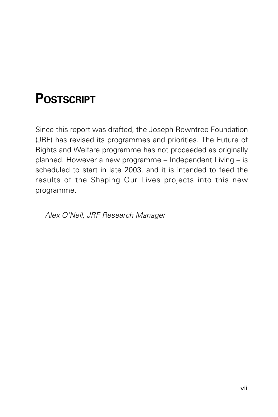## **POSTSCRIPT**

Since this report was drafted, the Joseph Rowntree Foundation (JRF) has revised its programmes and priorities. The Future of Rights and Welfare programme has not proceeded as originally planned. However a new programme – Independent Living – is scheduled to start in late 2003, and it is intended to feed the results of the Shaping Our Lives projects into this new programme.

Alex O'Neil, JRF Research Manager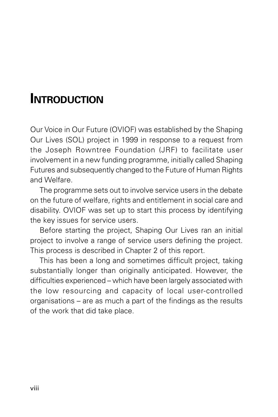## **INTRODUCTION**

Our Voice in Our Future (OVIOF) was established by the Shaping Our Lives (SOL) project in 1999 in response to a request from the Joseph Rowntree Foundation (JRF) to facilitate user involvement in a new funding programme, initially called Shaping Futures and subsequently changed to the Future of Human Rights and Welfare.

The programme sets out to involve service users in the debate on the future of welfare, rights and entitlement in social care and disability. OVIOF was set up to start this process by identifying the key issues for service users.

Before starting the project, Shaping Our Lives ran an initial project to involve a range of service users defining the project. This process is described in Chapter 2 of this report.

This has been a long and sometimes difficult project, taking substantially longer than originally anticipated. However, the difficulties experienced – which have been largely associated with the low resourcing and capacity of local user-controlled organisations – are as much a part of the findings as the results of the work that did take place.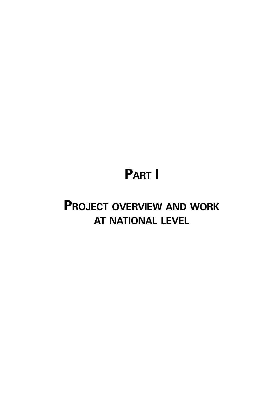## **PART I**

## **PROJECT OVERVIEW AND WORK AT NATIONAL LEVEL**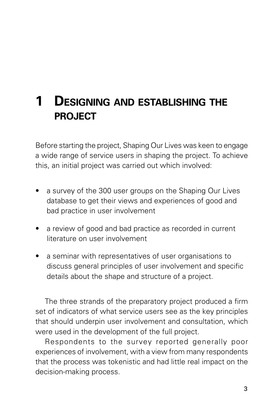## **1 DESIGNING AND ESTABLISHING THE PROJECT**

Before starting the project, Shaping Our Lives was keen to engage a wide range of service users in shaping the project. To achieve this, an initial project was carried out which involved:

- a survey of the 300 user groups on the Shaping Our Lives database to get their views and experiences of good and bad practice in user involvement
- a review of good and bad practice as recorded in current literature on user involvement
- a seminar with representatives of user organisations to discuss general principles of user involvement and specific details about the shape and structure of a project.

The three strands of the preparatory project produced a firm set of indicators of what service users see as the key principles that should underpin user involvement and consultation, which were used in the development of the full project.

Respondents to the survey reported generally poor experiences of involvement, with a view from many respondents that the process was tokenistic and had little real impact on the decision-making process.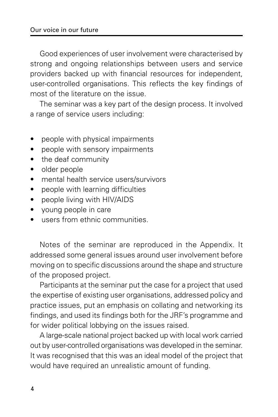Good experiences of user involvement were characterised by strong and ongoing relationships between users and service providers backed up with financial resources for independent, user-controlled organisations. This reflects the key findings of most of the literature on the issue.

The seminar was a key part of the design process. It involved a range of service users including:

- people with physical impairments
- people with sensory impairments
- the deaf community
- older people
- mental health service users/survivors
- people with learning difficulties
- people living with HIV/AIDS
- young people in care
- users from ethnic communities.

Notes of the seminar are reproduced in the Appendix. It addressed some general issues around user involvement before moving on to specific discussions around the shape and structure of the proposed project.

Participants at the seminar put the case for a project that used the expertise of existing user organisations, addressed policy and practice issues, put an emphasis on collating and networking its findings, and used its findings both for the JRF's programme and for wider political lobbying on the issues raised.

A large-scale national project backed up with local work carried out by user-controlled organisations was developed in the seminar. It was recognised that this was an ideal model of the project that would have required an unrealistic amount of funding.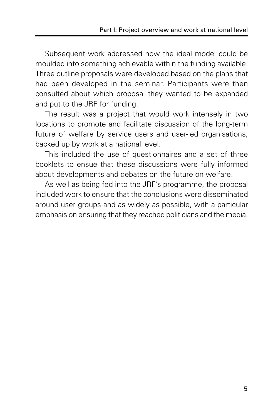Subsequent work addressed how the ideal model could be moulded into something achievable within the funding available. Three outline proposals were developed based on the plans that had been developed in the seminar. Participants were then consulted about which proposal they wanted to be expanded and put to the JRF for funding.

The result was a project that would work intensely in two locations to promote and facilitate discussion of the long-term future of welfare by service users and user-led organisations, backed up by work at a national level.

This included the use of questionnaires and a set of three booklets to ensue that these discussions were fully informed about developments and debates on the future on welfare.

As well as being fed into the JRF's programme, the proposal included work to ensure that the conclusions were disseminated around user groups and as widely as possible, with a particular emphasis on ensuring that they reached politicians and the media.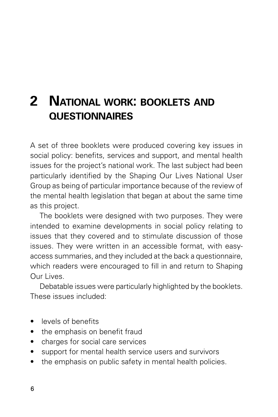## **2 NATIONAL WORK: BOOKLETS AND QUESTIONNAIRES**

A set of three booklets were produced covering key issues in social policy: benefits, services and support, and mental health issues for the project's national work. The last subject had been particularly identified by the Shaping Our Lives National User Group as being of particular importance because of the review of the mental health legislation that began at about the same time as this project.

The booklets were designed with two purposes. They were intended to examine developments in social policy relating to issues that they covered and to stimulate discussion of those issues. They were written in an accessible format, with easyaccess summaries, and they included at the back a questionnaire, which readers were encouraged to fill in and return to Shaping Our Lives.

Debatable issues were particularly highlighted by the booklets. These issues included:

- levels of benefits
- the emphasis on benefit fraud
- charges for social care services
- support for mental health service users and survivors
- the emphasis on public safety in mental health policies.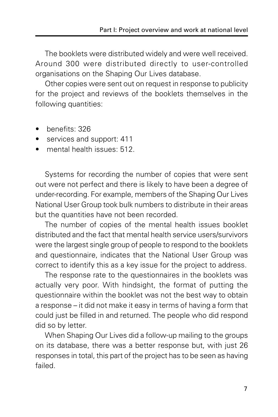The booklets were distributed widely and were well received. Around 300 were distributed directly to user-controlled organisations on the Shaping Our Lives database.

Other copies were sent out on request in response to publicity for the project and reviews of the booklets themselves in the following quantities:

- benefits: 326
- services and support: 411
- mental health issues: 512.

Systems for recording the number of copies that were sent out were not perfect and there is likely to have been a degree of under-recording. For example, members of the Shaping Our Lives National User Group took bulk numbers to distribute in their areas but the quantities have not been recorded.

The number of copies of the mental health issues booklet distributed and the fact that mental health service users/survivors were the largest single group of people to respond to the booklets and questionnaire, indicates that the National User Group was correct to identify this as a key issue for the project to address.

The response rate to the questionnaires in the booklets was actually very poor. With hindsight, the format of putting the questionnaire within the booklet was not the best way to obtain a response – it did not make it easy in terms of having a form that could just be filled in and returned. The people who did respond did so by letter.

When Shaping Our Lives did a follow-up mailing to the groups on its database, there was a better response but, with just 26 responses in total, this part of the project has to be seen as having failed.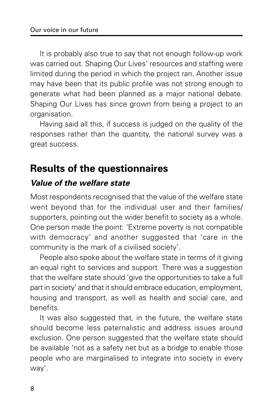It is probably also true to say that not enough follow-up work was carried out. Shaping Our Lives' resources and staffing were limited during the period in which the project ran. Another issue may have been that its public profile was not strong enough to generate what had been planned as a major national debate. Shaping Our Lives has since grown from being a project to an organisation.

Having said all this, if success is judged on the quality of the responses rather than the quantity, the national survey was a great success.

## **Results of the questionnaires**

### **Value of the welfare state**

Most respondents recognised that the value of the welfare state went beyond that for the individual user and their families/ supporters, pointing out the wider benefit to society as a whole. One person made the point: 'Extreme poverty is not compatible with democracy' and another suggested that 'care in the community is the mark of a civilised society'.

People also spoke about the welfare state in terms of it giving an equal right to services and support. There was a suggestion that the welfare state should 'give the opportunities to take a full part in society' and that it should embrace education, employment, housing and transport, as well as health and social care, and benefits.

It was also suggested that, in the future, the welfare state should become less paternalistic and address issues around exclusion. One person suggested that the welfare state should be available 'not as a safety net but as a bridge to enable those people who are marginalised to integrate into society in every way'.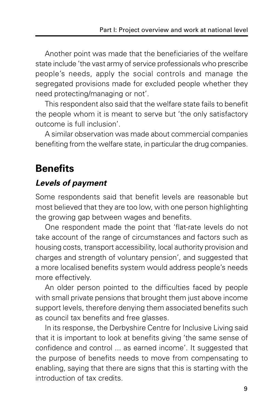Another point was made that the beneficiaries of the welfare state include 'the vast army of service professionals who prescribe people's needs, apply the social controls and manage the segregated provisions made for excluded people whether they need protecting/managing or not'.

This respondent also said that the welfare state fails to benefit the people whom it is meant to serve but 'the only satisfactory outcome is full inclusion'.

A similar observation was made about commercial companies benefiting from the welfare state, in particular the drug companies.

## **Benefits**

#### **Levels of payment**

Some respondents said that benefit levels are reasonable but most believed that they are too low, with one person highlighting the growing gap between wages and benefits.

One respondent made the point that 'flat-rate levels do not take account of the range of circumstances and factors such as housing costs, transport accessibility, local authority provision and charges and strength of voluntary pension', and suggested that a more localised benefits system would address people's needs more effectively.

An older person pointed to the difficulties faced by people with small private pensions that brought them just above income support levels, therefore denying them associated benefits such as council tax benefits and free glasses.

In its response, the Derbyshire Centre for Inclusive Living said that it is important to look at benefits giving 'the same sense of confidence and control ... as earned income'. It suggested that the purpose of benefits needs to move from compensating to enabling, saying that there are signs that this is starting with the introduction of tax credits.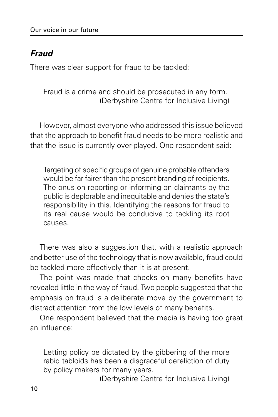### **Fraud**

There was clear support for fraud to be tackled:

Fraud is a crime and should be prosecuted in any form. (Derbyshire Centre for Inclusive Living)

However, almost everyone who addressed this issue believed that the approach to benefit fraud needs to be more realistic and that the issue is currently over-played. One respondent said:

Targeting of specific groups of genuine probable offenders would be far fairer than the present branding of recipients. The onus on reporting or informing on claimants by the public is deplorable and inequitable and denies the state's responsibility in this. Identifying the reasons for fraud to its real cause would be conducive to tackling its root causes.

There was also a suggestion that, with a realistic approach and better use of the technology that is now available, fraud could be tackled more effectively than it is at present.

The point was made that checks on many benefits have revealed little in the way of fraud. Two people suggested that the emphasis on fraud is a deliberate move by the government to distract attention from the low levels of many benefits.

One respondent believed that the media is having too great an influence:

Letting policy be dictated by the gibbering of the more rabid tabloids has been a disgraceful dereliction of duty by policy makers for many years.

(Derbyshire Centre for Inclusive Living)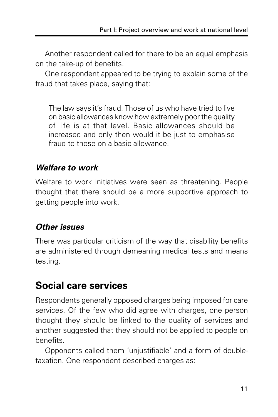Another respondent called for there to be an equal emphasis on the take-up of benefits.

One respondent appeared to be trying to explain some of the fraud that takes place, saying that:

The law says it's fraud. Those of us who have tried to live on basic allowances know how extremely poor the quality of life is at that level. Basic allowances should be increased and only then would it be just to emphasise fraud to those on a basic allowance.

#### **Welfare to work**

Welfare to work initiatives were seen as threatening. People thought that there should be a more supportive approach to getting people into work.

#### **Other issues**

There was particular criticism of the way that disability benefits are administered through demeaning medical tests and means testing.

## **Social care services**

Respondents generally opposed charges being imposed for care services. Of the few who did agree with charges, one person thought they should be linked to the quality of services and another suggested that they should not be applied to people on benefits.

Opponents called them 'unjustifiable' and a form of doubletaxation. One respondent described charges as: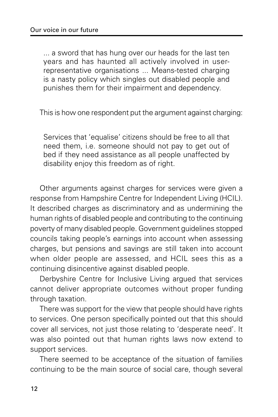... a sword that has hung over our heads for the last ten years and has haunted all actively involved in userrepresentative organisations ... Means-tested charging is a nasty policy which singles out disabled people and punishes them for their impairment and dependency.

This is how one respondent put the argument against charging:

Services that 'equalise' citizens should be free to all that need them, i.e. someone should not pay to get out of bed if they need assistance as all people unaffected by disability enjoy this freedom as of right.

Other arguments against charges for services were given a response from Hampshire Centre for Independent Living (HCIL). It described charges as discriminatory and as undermining the human rights of disabled people and contributing to the continuing poverty of many disabled people. Government guidelines stopped councils taking people's earnings into account when assessing charges, but pensions and savings are still taken into account when older people are assessed, and HCIL sees this as a continuing disincentive against disabled people.

Derbyshire Centre for Inclusive Living argued that services cannot deliver appropriate outcomes without proper funding through taxation.

There was support for the view that people should have rights to services. One person specifically pointed out that this should cover all services, not just those relating to 'desperate need'. It was also pointed out that human rights laws now extend to support services.

There seemed to be acceptance of the situation of families continuing to be the main source of social care, though several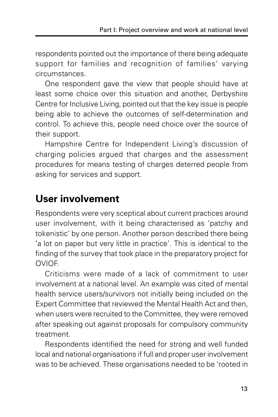respondents pointed out the importance of there being adequate support for families and recognition of families' varying circumstances.

One respondent gave the view that people should have at least some choice over this situation and another, Derbyshire Centre for Inclusive Living, pointed out that the key issue is people being able to achieve the outcomes of self-determination and control. To achieve this, people need choice over the source of their support.

Hampshire Centre for Independent Living's discussion of charging policies argued that charges and the assessment procedures for means testing of charges deterred people from asking for services and support.

## **User involvement**

Respondents were very sceptical about current practices around user involvement, with it being characterised as 'patchy and tokenistic' by one person. Another person described there being 'a lot on paper but very little in practice'. This is identical to the finding of the survey that took place in the preparatory project for **OVIOF** 

Criticisms were made of a lack of commitment to user involvement at a national level. An example was cited of mental health service users/survivors not initially being included on the Expert Committee that reviewed the Mental Health Act and then, when users were recruited to the Committee, they were removed after speaking out against proposals for compulsory community treatment.

Respondents identified the need for strong and well funded local and national organisations if full and proper user involvement was to be achieved. These organisations needed to be 'rooted in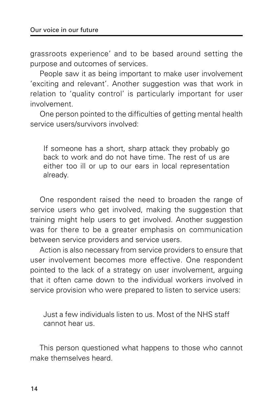grassroots experience' and to be based around setting the purpose and outcomes of services.

People saw it as being important to make user involvement 'exciting and relevant'. Another suggestion was that work in relation to 'quality control' is particularly important for user involvement.

One person pointed to the difficulties of getting mental health service users/survivors involved:

If someone has a short, sharp attack they probably go back to work and do not have time. The rest of us are either too ill or up to our ears in local representation already.

One respondent raised the need to broaden the range of service users who get involved, making the suggestion that training might help users to get involved. Another suggestion was for there to be a greater emphasis on communication between service providers and service users.

Action is also necessary from service providers to ensure that user involvement becomes more effective. One respondent pointed to the lack of a strategy on user involvement, arguing that it often came down to the individual workers involved in service provision who were prepared to listen to service users:

Just a few individuals listen to us. Most of the NHS staff cannot hear us.

This person questioned what happens to those who cannot make themselves heard.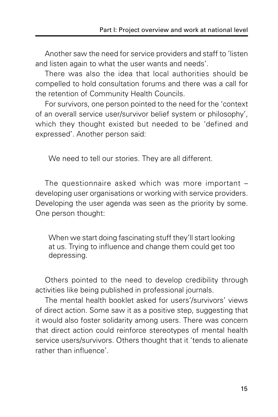Another saw the need for service providers and staff to 'listen and listen again to what the user wants and needs'.

There was also the idea that local authorities should be compelled to hold consultation forums and there was a call for the retention of Community Health Councils.

For survivors, one person pointed to the need for the 'context of an overall service user/survivor belief system or philosophy', which they thought existed but needed to be 'defined and expressed'. Another person said:

We need to tell our stories. They are all different.

The questionnaire asked which was more important – developing user organisations or working with service providers. Developing the user agenda was seen as the priority by some. One person thought:

When we start doing fascinating stuff they'll start looking at us. Trying to influence and change them could get too depressing.

Others pointed to the need to develop credibility through activities like being published in professional journals.

The mental health booklet asked for users'/survivors' views of direct action. Some saw it as a positive step, suggesting that it would also foster solidarity among users. There was concern that direct action could reinforce stereotypes of mental health service users/survivors. Others thought that it 'tends to alienate rather than influence'.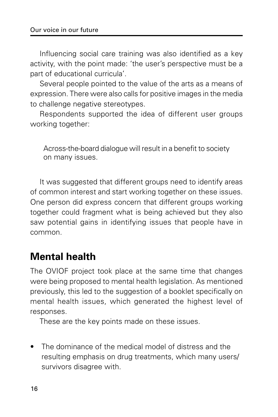Influencing social care training was also identified as a key activity, with the point made: 'the user's perspective must be a part of educational curricula'.

Several people pointed to the value of the arts as a means of expression. There were also calls for positive images in the media to challenge negative stereotypes.

Respondents supported the idea of different user groups working together:

Across-the-board dialogue will result in a benefit to society on many issues.

It was suggested that different groups need to identify areas of common interest and start working together on these issues. One person did express concern that different groups working together could fragment what is being achieved but they also saw potential gains in identifying issues that people have in common.

### **Mental health**

The OVIOF project took place at the same time that changes were being proposed to mental health legislation. As mentioned previously, this led to the suggestion of a booklet specifically on mental health issues, which generated the highest level of responses.

These are the key points made on these issues.

The dominance of the medical model of distress and the resulting emphasis on drug treatments, which many users/ survivors disagree with.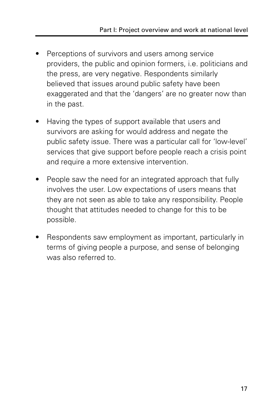- Perceptions of survivors and users among service providers, the public and opinion formers, i.e. politicians and the press, are very negative. Respondents similarly believed that issues around public safety have been exaggerated and that the 'dangers' are no greater now than in the past.
- Having the types of support available that users and survivors are asking for would address and negate the public safety issue. There was a particular call for 'low-level' services that give support before people reach a crisis point and require a more extensive intervention.
- People saw the need for an integrated approach that fully involves the user. Low expectations of users means that they are not seen as able to take any responsibility. People thought that attitudes needed to change for this to be possible.
- Respondents saw employment as important, particularly in terms of giving people a purpose, and sense of belonging was also referred to.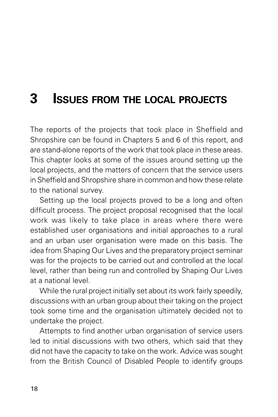## **3 ISSUES FROM THE LOCAL PROJECTS**

The reports of the projects that took place in Sheffield and Shropshire can be found in Chapters 5 and 6 of this report, and are stand-alone reports of the work that took place in these areas. This chapter looks at some of the issues around setting up the local projects, and the matters of concern that the service users in Sheffield and Shropshire share in common and how these relate to the national survey.

Setting up the local projects proved to be a long and often difficult process. The project proposal recognised that the local work was likely to take place in areas where there were established user organisations and initial approaches to a rural and an urban user organisation were made on this basis. The idea from Shaping Our Lives and the preparatory project seminar was for the projects to be carried out and controlled at the local level, rather than being run and controlled by Shaping Our Lives at a national level.

While the rural project initially set about its work fairly speedily, discussions with an urban group about their taking on the project took some time and the organisation ultimately decided not to undertake the project.

Attempts to find another urban organisation of service users led to initial discussions with two others, which said that they did not have the capacity to take on the work. Advice was sought from the British Council of Disabled People to identify groups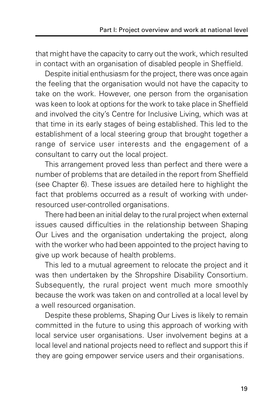that might have the capacity to carry out the work, which resulted in contact with an organisation of disabled people in Sheffield.

Despite initial enthusiasm for the project, there was once again the feeling that the organisation would not have the capacity to take on the work. However, one person from the organisation was keen to look at options for the work to take place in Sheffield and involved the city's Centre for Inclusive Living, which was at that time in its early stages of being established. This led to the establishment of a local steering group that brought together a range of service user interests and the engagement of a consultant to carry out the local project.

This arrangement proved less than perfect and there were a number of problems that are detailed in the report from Sheffield (see Chapter 6). These issues are detailed here to highlight the fact that problems occurred as a result of working with underresourced user-controlled organisations.

There had been an initial delay to the rural project when external issues caused difficulties in the relationship between Shaping Our Lives and the organisation undertaking the project, along with the worker who had been appointed to the project having to give up work because of health problems.

This led to a mutual agreement to relocate the project and it was then undertaken by the Shropshire Disability Consortium. Subsequently, the rural project went much more smoothly because the work was taken on and controlled at a local level by a well resourced organisation.

Despite these problems, Shaping Our Lives is likely to remain committed in the future to using this approach of working with local service user organisations. User involvement begins at a local level and national projects need to reflect and support this if they are going empower service users and their organisations.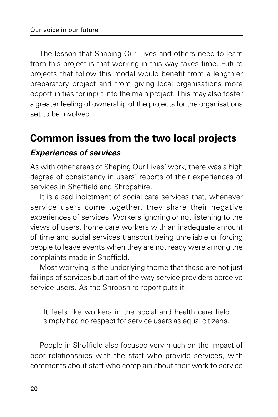The lesson that Shaping Our Lives and others need to learn from this project is that working in this way takes time. Future projects that follow this model would benefit from a lengthier preparatory project and from giving local organisations more opportunities for input into the main project. This may also foster a greater feeling of ownership of the projects for the organisations set to be involved.

## **Common issues from the two local projects**

#### **Experiences of services**

As with other areas of Shaping Our Lives' work, there was a high degree of consistency in users' reports of their experiences of services in Sheffield and Shropshire.

It is a sad indictment of social care services that, whenever service users come together, they share their negative experiences of services. Workers ignoring or not listening to the views of users, home care workers with an inadequate amount of time and social services transport being unreliable or forcing people to leave events when they are not ready were among the complaints made in Sheffield.

Most worrying is the underlying theme that these are not just failings of services but part of the way service providers perceive service users. As the Shropshire report puts it:

It feels like workers in the social and health care field simply had no respect for service users as equal citizens.

People in Sheffield also focused very much on the impact of poor relationships with the staff who provide services, with comments about staff who complain about their work to service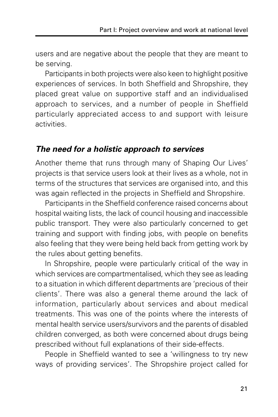users and are negative about the people that they are meant to be serving.

Participants in both projects were also keen to highlight positive experiences of services. In both Sheffield and Shropshire, they placed great value on supportive staff and an individualised approach to services, and a number of people in Sheffield particularly appreciated access to and support with leisure activities.

#### **The need for a holistic approach to services**

Another theme that runs through many of Shaping Our Lives' projects is that service users look at their lives as a whole, not in terms of the structures that services are organised into, and this was again reflected in the projects in Sheffield and Shropshire.

Participants in the Sheffield conference raised concerns about hospital waiting lists, the lack of council housing and inaccessible public transport. They were also particularly concerned to get training and support with finding jobs, with people on benefits also feeling that they were being held back from getting work by the rules about getting benefits.

In Shropshire, people were particularly critical of the way in which services are compartmentalised, which they see as leading to a situation in which different departments are 'precious of their clients'. There was also a general theme around the lack of information, particularly about services and about medical treatments. This was one of the points where the interests of mental health service users/survivors and the parents of disabled children converged, as both were concerned about drugs being prescribed without full explanations of their side-effects.

People in Sheffield wanted to see a 'willingness to try new ways of providing services'. The Shropshire project called for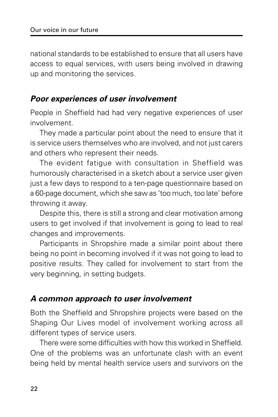national standards to be established to ensure that all users have access to equal services, with users being involved in drawing up and monitoring the services.

#### **Poor experiences of user involvement**

People in Sheffield had had very negative experiences of user involvement.

They made a particular point about the need to ensure that it is service users themselves who are involved, and not just carers and others who represent their needs.

The evident fatigue with consultation in Sheffield was humorously characterised in a sketch about a service user given just a few days to respond to a ten-page questionnaire based on a 60-page document, which she saw as 'too much, too late' before throwing it away.

Despite this, there is still a strong and clear motivation among users to get involved if that involvement is going to lead to real changes and improvements.

Participants in Shropshire made a similar point about there being no point in becoming involved if it was not going to lead to positive results. They called for involvement to start from the very beginning, in setting budgets.

#### **A common approach to user involvement**

Both the Sheffield and Shropshire projects were based on the Shaping Our Lives model of involvement working across all different types of service users.

There were some difficulties with how this worked in Sheffield. One of the problems was an unfortunate clash with an event being held by mental health service users and survivors on the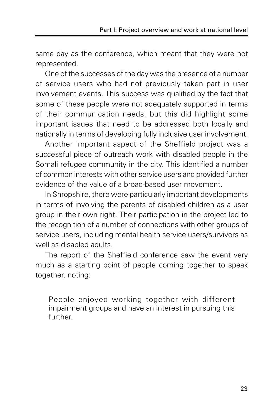same day as the conference, which meant that they were not represented.

One of the successes of the day was the presence of a number of service users who had not previously taken part in user involvement events. This success was qualified by the fact that some of these people were not adequately supported in terms of their communication needs, but this did highlight some important issues that need to be addressed both locally and nationally in terms of developing fully inclusive user involvement.

Another important aspect of the Sheffield project was a successful piece of outreach work with disabled people in the Somali refugee community in the city. This identified a number of common interests with other service users and provided further evidence of the value of a broad-based user movement.

In Shropshire, there were particularly important developments in terms of involving the parents of disabled children as a user group in their own right. Their participation in the project led to the recognition of a number of connections with other groups of service users, including mental health service users/survivors as well as disabled adults.

The report of the Sheffield conference saw the event very much as a starting point of people coming together to speak together, noting:

People enjoyed working together with different impairment groups and have an interest in pursuing this further.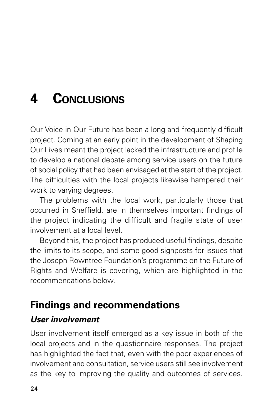## **4 CONCLUSIONS**

Our Voice in Our Future has been a long and frequently difficult project. Coming at an early point in the development of Shaping Our Lives meant the project lacked the infrastructure and profile to develop a national debate among service users on the future of social policy that had been envisaged at the start of the project. The difficulties with the local projects likewise hampered their work to varying degrees.

The problems with the local work, particularly those that occurred in Sheffield, are in themselves important findings of the project indicating the difficult and fragile state of user involvement at a local level.

Beyond this, the project has produced useful findings, despite the limits to its scope, and some good signposts for issues that the Joseph Rowntree Foundation's programme on the Future of Rights and Welfare is covering, which are highlighted in the recommendations below.

## **Findings and recommendations**

### **User involvement**

User involvement itself emerged as a key issue in both of the local projects and in the questionnaire responses. The project has highlighted the fact that, even with the poor experiences of involvement and consultation, service users still see involvement as the key to improving the quality and outcomes of services.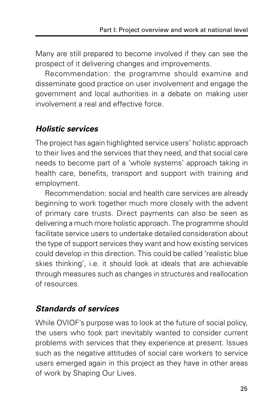Many are still prepared to become involved if they can see the prospect of it delivering changes and improvements.

Recommendation: the programme should examine and disseminate good practice on user involvement and engage the government and local authorities in a debate on making user involvement a real and effective force.

### **Holistic services**

The project has again highlighted service users' holistic approach to their lives and the services that they need, and that social care needs to become part of a 'whole systems' approach taking in health care, benefits, transport and support with training and employment.

Recommendation: social and health care services are already beginning to work together much more closely with the advent of primary care trusts. Direct payments can also be seen as delivering a much more holistic approach. The programme should facilitate service users to undertake detailed consideration about the type of support services they want and how existing services could develop in this direction. This could be called 'realistic blue skies thinking', i.e. it should look at ideals that are achievable through measures such as changes in structures and reallocation of resources.

### **Standards of services**

While OVIOF's purpose was to look at the future of social policy, the users who took part inevitably wanted to consider current problems with services that they experience at present. Issues such as the negative attitudes of social care workers to service users emerged again in this project as they have in other areas of work by Shaping Our Lives.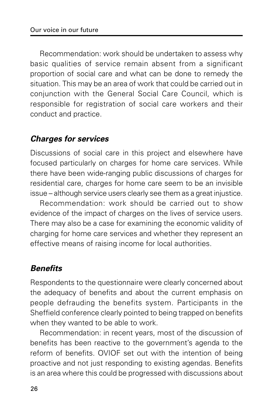Recommendation: work should be undertaken to assess why basic qualities of service remain absent from a significant proportion of social care and what can be done to remedy the situation. This may be an area of work that could be carried out in conjunction with the General Social Care Council, which is responsible for registration of social care workers and their conduct and practice.

#### **Charges for services**

Discussions of social care in this project and elsewhere have focused particularly on charges for home care services. While there have been wide-ranging public discussions of charges for residential care, charges for home care seem to be an invisible issue – although service users clearly see them as a great injustice.

Recommendation: work should be carried out to show evidence of the impact of charges on the lives of service users. There may also be a case for examining the economic validity of charging for home care services and whether they represent an effective means of raising income for local authorities.

### **Benefits**

Respondents to the questionnaire were clearly concerned about the adequacy of benefits and about the current emphasis on people defrauding the benefits system. Participants in the Sheffield conference clearly pointed to being trapped on benefits when they wanted to be able to work.

Recommendation: in recent years, most of the discussion of benefits has been reactive to the government's agenda to the reform of benefits. OVIOF set out with the intention of being proactive and not just responding to existing agendas. Benefits is an area where this could be progressed with discussions about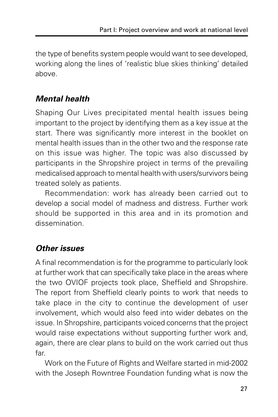the type of benefits system people would want to see developed, working along the lines of 'realistic blue skies thinking' detailed above.

### **Mental health**

Shaping Our Lives precipitated mental health issues being important to the project by identifying them as a key issue at the start. There was significantly more interest in the booklet on mental health issues than in the other two and the response rate on this issue was higher. The topic was also discussed by participants in the Shropshire project in terms of the prevailing medicalised approach to mental health with users/survivors being treated solely as patients.

Recommendation: work has already been carried out to develop a social model of madness and distress. Further work should be supported in this area and in its promotion and dissemination.

### **Other issues**

A final recommendation is for the programme to particularly look at further work that can specifically take place in the areas where the two OVIOF projects took place, Sheffield and Shropshire. The report from Sheffield clearly points to work that needs to take place in the city to continue the development of user involvement, which would also feed into wider debates on the issue. In Shropshire, participants voiced concerns that the project would raise expectations without supporting further work and, again, there are clear plans to build on the work carried out thus far.

Work on the Future of Rights and Welfare started in mid-2002 with the Joseph Rowntree Foundation funding what is now the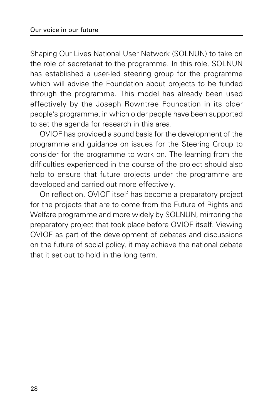Shaping Our Lives National User Network (SOLNUN) to take on the role of secretariat to the programme. In this role, SOLNUN has established a user-led steering group for the programme which will advise the Foundation about projects to be funded through the programme. This model has already been used effectively by the Joseph Rowntree Foundation in its older people's programme, in which older people have been supported to set the agenda for research in this area.

OVIOF has provided a sound basis for the development of the programme and guidance on issues for the Steering Group to consider for the programme to work on. The learning from the difficulties experienced in the course of the project should also help to ensure that future projects under the programme are developed and carried out more effectively.

On reflection, OVIOF itself has become a preparatory project for the projects that are to come from the Future of Rights and Welfare programme and more widely by SOLNUN, mirroring the preparatory project that took place before OVIOF itself. Viewing OVIOF as part of the development of debates and discussions on the future of social policy, it may achieve the national debate that it set out to hold in the long term.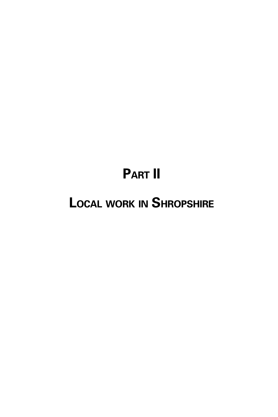# **PART II**

# **LOCAL WORK IN SHROPSHIRE**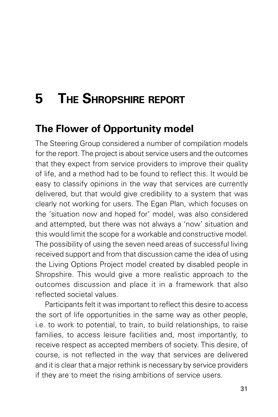# **5 THE SHROPSHIRE REPORT**

## **The Flower of Opportunity model**

The Steering Group considered a number of compilation models for the report. The project is about service users and the outcomes that they expect from service providers to improve their quality of life, and a method had to be found to reflect this. It would be easy to classify opinions in the way that services are currently delivered, but that would give credibility to a system that was clearly not working for users. The Egan Plan, which focuses on the 'situation now and hoped for' model, was also considered and attempted, but there was not always a 'now' situation and this would limit the scope for a workable and constructive model. The possibility of using the seven need areas of successful living received support and from that discussion came the idea of using the Living Options Project model created by disabled people in Shropshire. This would give a more realistic approach to the outcomes discussion and place it in a framework that also reflected societal values.

Participants felt it was important to reflect this desire to access the sort of life opportunities in the same way as other people, i.e. to work to potential, to train, to build relationships, to raise families, to access leisure facilities and, most importantly, to receive respect as accepted members of society. This desire, of course, is not reflected in the way that services are delivered and it is clear that a major rethink is necessary by service providers if they are to meet the rising ambitions of service users.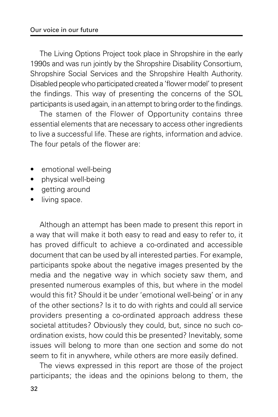The Living Options Project took place in Shropshire in the early 1990s and was run jointly by the Shropshire Disability Consortium, Shropshire Social Services and the Shropshire Health Authority. Disabled people who participated created a 'flower model' to present the findings. This way of presenting the concerns of the SOL participants is used again, in an attempt to bring order to the findings.

The stamen of the Flower of Opportunity contains three essential elements that are necessary to access other ingredients to live a successful life. These are rights, information and advice. The four petals of the flower are:

- emotional well-being
- physical well-being
- getting around
- living space.

Although an attempt has been made to present this report in a way that will make it both easy to read and easy to refer to, it has proved difficult to achieve a co-ordinated and accessible document that can be used by all interested parties. For example, participants spoke about the negative images presented by the media and the negative way in which society saw them, and presented numerous examples of this, but where in the model would this fit? Should it be under 'emotional well-being' or in any of the other sections? Is it to do with rights and could all service providers presenting a co-ordinated approach address these societal attitudes? Obviously they could, but, since no such coordination exists, how could this be presented? Inevitably, some issues will belong to more than one section and some do not seem to fit in anywhere, while others are more easily defined.

The views expressed in this report are those of the project participants; the ideas and the opinions belong to them, the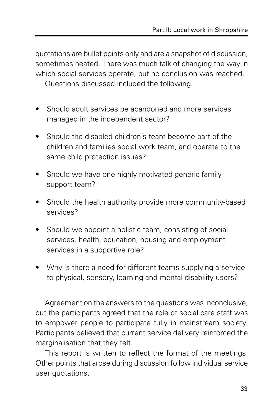quotations are bullet points only and are a snapshot of discussion, sometimes heated. There was much talk of changing the way in which social services operate, but no conclusion was reached.

Questions discussed included the following.

- Should adult services be abandoned and more services managed in the independent sector?
- Should the disabled children's team become part of the children and families social work team, and operate to the same child protection issues?
- Should we have one highly motivated generic family support team?
- Should the health authority provide more community-based services?
- Should we appoint a holistic team, consisting of social services, health, education, housing and employment services in a supportive role?
- Why is there a need for different teams supplying a service to physical, sensory, learning and mental disability users?

Agreement on the answers to the questions was inconclusive, but the participants agreed that the role of social care staff was to empower people to participate fully in mainstream society. Participants believed that current service delivery reinforced the marginalisation that they felt.

This report is written to reflect the format of the meetings. Other points that arose during discussion follow individual service user quotations.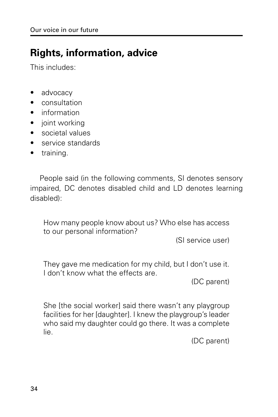## **Rights, information, advice**

This includes:

- advocacy
- consultation
- information
- joint working
- societal values
- service standards
- training.

People said (in the following comments, SI denotes sensory impaired, DC denotes disabled child and LD denotes learning disabled):

How many people know about us? Who else has access to our personal information?

(SI service user)

They gave me medication for my child, but I don't use it. I don't know what the effects are.

(DC parent)

She [the social worker] said there wasn't any playgroup facilities for her [daughter]. I knew the playgroup's leader who said my daughter could go there. It was a complete lie.

(DC parent)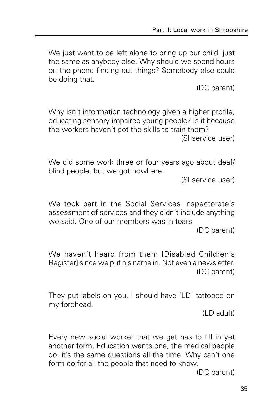We just want to be left alone to bring up our child, just the same as anybody else. Why should we spend hours on the phone finding out things? Somebody else could be doing that.

(DC parent)

Why isn't information technology given a higher profile, educating sensory-impaired young people? Is it because the workers haven't got the skills to train them? (SI service user)

We did some work three or four years ago about deaf/ blind people, but we got nowhere.

(SI service user)

We took part in the Social Services Inspectorate's assessment of services and they didn't include anything we said. One of our members was in tears.

(DC parent)

We haven't heard from them [Disabled Children's Register] since we put his name in. Not even a newsletter. (DC parent)

They put labels on you, I should have 'LD' tattooed on my forehead.

(LD adult)

Every new social worker that we get has to fill in yet another form. Education wants one, the medical people do, it's the same questions all the time. Why can't one form do for all the people that need to know.

(DC parent)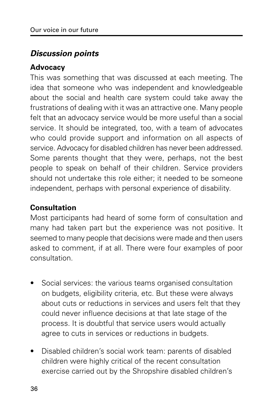### **Discussion points**

#### **Advocacy**

This was something that was discussed at each meeting. The idea that someone who was independent and knowledgeable about the social and health care system could take away the frustrations of dealing with it was an attractive one. Many people felt that an advocacy service would be more useful than a social service. It should be integrated, too, with a team of advocates who could provide support and information on all aspects of service. Advocacy for disabled children has never been addressed. Some parents thought that they were, perhaps, not the best people to speak on behalf of their children. Service providers should not undertake this role either; it needed to be someone independent, perhaps with personal experience of disability.

### **Consultation**

Most participants had heard of some form of consultation and many had taken part but the experience was not positive. It seemed to many people that decisions were made and then users asked to comment, if at all. There were four examples of poor consultation.

- Social services: the various teams organised consultation on budgets, eligibility criteria, etc. But these were always about cuts or reductions in services and users felt that they could never influence decisions at that late stage of the process. It is doubtful that service users would actually agree to cuts in services or reductions in budgets.
- Disabled children's social work team: parents of disabled children were highly critical of the recent consultation exercise carried out by the Shropshire disabled children's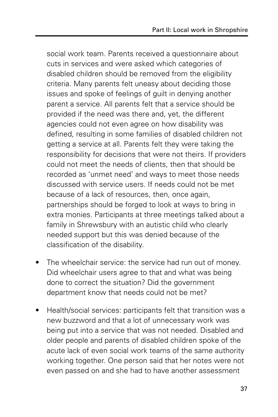social work team. Parents received a questionnaire about cuts in services and were asked which categories of disabled children should be removed from the eligibility criteria. Many parents felt uneasy about deciding those issues and spoke of feelings of guilt in denying another parent a service. All parents felt that a service should be provided if the need was there and, yet, the different agencies could not even agree on how disability was defined, resulting in some families of disabled children not getting a service at all. Parents felt they were taking the responsibility for decisions that were not theirs. If providers could not meet the needs of clients, then that should be recorded as 'unmet need' and ways to meet those needs discussed with service users. If needs could not be met because of a lack of resources, then, once again, partnerships should be forged to look at ways to bring in extra monies. Participants at three meetings talked about a family in Shrewsbury with an autistic child who clearly needed support but this was denied because of the classification of the disability.

- The wheelchair service: the service had run out of money. Did wheelchair users agree to that and what was being done to correct the situation? Did the government department know that needs could not be met?
- Health/social services: participants felt that transition was a new buzzword and that a lot of unnecessary work was being put into a service that was not needed. Disabled and older people and parents of disabled children spoke of the acute lack of even social work teams of the same authority working together. One person said that her notes were not even passed on and she had to have another assessment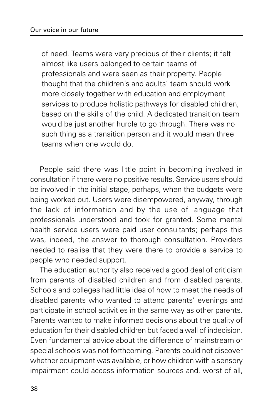of need. Teams were very precious of their clients; it felt almost like users belonged to certain teams of professionals and were seen as their property. People thought that the children's and adults' team should work more closely together with education and employment services to produce holistic pathways for disabled children, based on the skills of the child. A dedicated transition team would be just another hurdle to go through. There was no such thing as a transition person and it would mean three teams when one would do.

People said there was little point in becoming involved in consultation if there were no positive results. Service users should be involved in the initial stage, perhaps, when the budgets were being worked out. Users were disempowered, anyway, through the lack of information and by the use of language that professionals understood and took for granted. Some mental health service users were paid user consultants; perhaps this was, indeed, the answer to thorough consultation. Providers needed to realise that they were there to provide a service to people who needed support.

The education authority also received a good deal of criticism from parents of disabled children and from disabled parents. Schools and colleges had little idea of how to meet the needs of disabled parents who wanted to attend parents' evenings and participate in school activities in the same way as other parents. Parents wanted to make informed decisions about the quality of education for their disabled children but faced a wall of indecision. Even fundamental advice about the difference of mainstream or special schools was not forthcoming. Parents could not discover whether equipment was available, or how children with a sensory impairment could access information sources and, worst of all,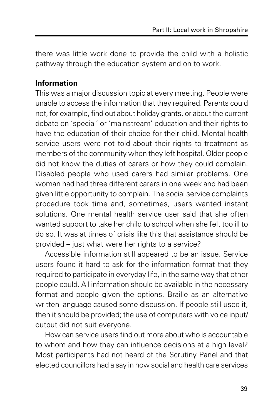there was little work done to provide the child with a holistic pathway through the education system and on to work.

#### **Information**

This was a major discussion topic at every meeting. People were unable to access the information that they required. Parents could not, for example, find out about holiday grants, or about the current debate on 'special' or 'mainstream' education and their rights to have the education of their choice for their child. Mental health service users were not told about their rights to treatment as members of the community when they left hospital. Older people did not know the duties of carers or how they could complain. Disabled people who used carers had similar problems. One woman had had three different carers in one week and had been given little opportunity to complain. The social service complaints procedure took time and, sometimes, users wanted instant solutions. One mental health service user said that she often wanted support to take her child to school when she felt too ill to do so. It was at times of crisis like this that assistance should be provided – just what were her rights to a service?

Accessible information still appeared to be an issue. Service users found it hard to ask for the information format that they required to participate in everyday life, in the same way that other people could. All information should be available in the necessary format and people given the options. Braille as an alternative written language caused some discussion. If people still used it, then it should be provided; the use of computers with voice input/ output did not suit everyone.

How can service users find out more about who is accountable to whom and how they can influence decisions at a high level? Most participants had not heard of the Scrutiny Panel and that elected councillors had a say in how social and health care services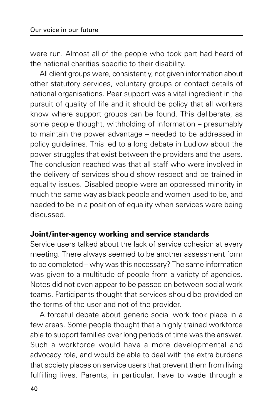were run. Almost all of the people who took part had heard of the national charities specific to their disability.

All client groups were, consistently, not given information about other statutory services, voluntary groups or contact details of national organisations. Peer support was a vital ingredient in the pursuit of quality of life and it should be policy that all workers know where support groups can be found. This deliberate, as some people thought, withholding of information – presumably to maintain the power advantage – needed to be addressed in policy guidelines. This led to a long debate in Ludlow about the power struggles that exist between the providers and the users. The conclusion reached was that all staff who were involved in the delivery of services should show respect and be trained in equality issues. Disabled people were an oppressed minority in much the same way as black people and women used to be, and needed to be in a position of equality when services were being discussed.

#### **Joint/inter-agency working and service standards**

Service users talked about the lack of service cohesion at every meeting. There always seemed to be another assessment form to be completed – why was this necessary? The same information was given to a multitude of people from a variety of agencies. Notes did not even appear to be passed on between social work teams. Participants thought that services should be provided on the terms of the user and not of the provider.

A forceful debate about generic social work took place in a few areas. Some people thought that a highly trained workforce able to support families over long periods of time was the answer. Such a workforce would have a more developmental and advocacy role, and would be able to deal with the extra burdens that society places on service users that prevent them from living fulfilling lives. Parents, in particular, have to wade through a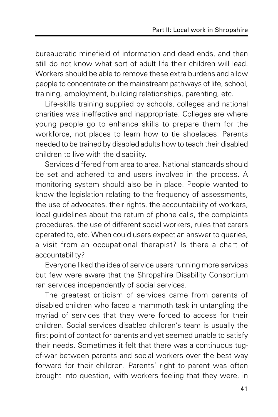bureaucratic minefield of information and dead ends, and then still do not know what sort of adult life their children will lead. Workers should be able to remove these extra burdens and allow people to concentrate on the mainstream pathways of life, school, training, employment, building relationships, parenting, etc.

Life-skills training supplied by schools, colleges and national charities was ineffective and inappropriate. Colleges are where young people go to enhance skills to prepare them for the workforce, not places to learn how to tie shoelaces. Parents needed to be trained by disabled adults how to teach their disabled children to live with the disability.

Services differed from area to area. National standards should be set and adhered to and users involved in the process. A monitoring system should also be in place. People wanted to know the legislation relating to the frequency of assessments, the use of advocates, their rights, the accountability of workers, local guidelines about the return of phone calls, the complaints procedures, the use of different social workers, rules that carers operated to, etc. When could users expect an answer to queries, a visit from an occupational therapist? Is there a chart of accountability?

Everyone liked the idea of service users running more services but few were aware that the Shropshire Disability Consortium ran services independently of social services.

The greatest criticism of services came from parents of disabled children who faced a mammoth task in untangling the myriad of services that they were forced to access for their children. Social services disabled children's team is usually the first point of contact for parents and yet seemed unable to satisfy their needs. Sometimes it felt that there was a continuous tugof-war between parents and social workers over the best way forward for their children. Parents' right to parent was often brought into question, with workers feeling that they were, in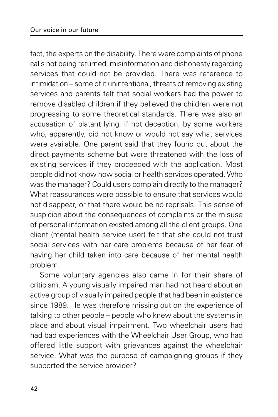fact, the experts on the disability. There were complaints of phone calls not being returned, misinformation and dishonesty regarding services that could not be provided. There was reference to intimidation – some of it unintentional, threats of removing existing services and parents felt that social workers had the power to remove disabled children if they believed the children were not progressing to some theoretical standards. There was also an accusation of blatant lying, if not deception, by some workers who, apparently, did not know or would not say what services were available. One parent said that they found out about the direct payments scheme but were threatened with the loss of existing services if they proceeded with the application. Most people did not know how social or health services operated. Who was the manager? Could users complain directly to the manager? What reassurances were possible to ensure that services would not disappear, or that there would be no reprisals. This sense of suspicion about the consequences of complaints or the misuse of personal information existed among all the client groups. One client (mental health service user) felt that she could not trust social services with her care problems because of her fear of having her child taken into care because of her mental health problem.

Some voluntary agencies also came in for their share of criticism. A young visually impaired man had not heard about an active group of visually impaired people that had been in existence since 1989. He was therefore missing out on the experience of talking to other people – people who knew about the systems in place and about visual impairment. Two wheelchair users had had bad experiences with the Wheelchair User Group, who had offered little support with grievances against the wheelchair service. What was the purpose of campaigning groups if they supported the service provider?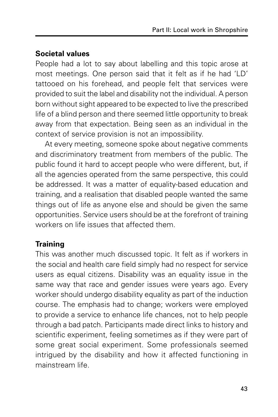### **Societal values**

People had a lot to say about labelling and this topic arose at most meetings. One person said that it felt as if he had 'LD' tattooed on his forehead, and people felt that services were provided to suit the label and disability not the individual. A person born without sight appeared to be expected to live the prescribed life of a blind person and there seemed little opportunity to break away from that expectation. Being seen as an individual in the context of service provision is not an impossibility.

At every meeting, someone spoke about negative comments and discriminatory treatment from members of the public. The public found it hard to accept people who were different, but, if all the agencies operated from the same perspective, this could be addressed. It was a matter of equality-based education and training, and a realisation that disabled people wanted the same things out of life as anyone else and should be given the same opportunities. Service users should be at the forefront of training workers on life issues that affected them.

### **Training**

This was another much discussed topic. It felt as if workers in the social and health care field simply had no respect for service users as equal citizens. Disability was an equality issue in the same way that race and gender issues were years ago. Every worker should undergo disability equality as part of the induction course. The emphasis had to change; workers were employed to provide a service to enhance life chances, not to help people through a bad patch. Participants made direct links to history and scientific experiment, feeling sometimes as if they were part of some great social experiment. Some professionals seemed intrigued by the disability and how it affected functioning in mainstream life.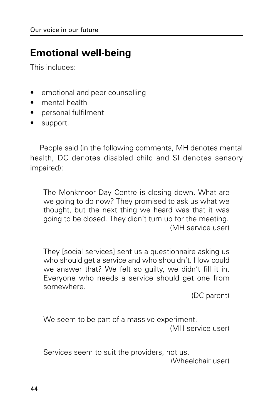## **Emotional well-being**

This includes:

- emotional and peer counselling
- mental health
- personal fulfilment
- support.

People said (in the following comments, MH denotes mental health, DC denotes disabled child and SI denotes sensory impaired):

The Monkmoor Day Centre is closing down. What are we going to do now? They promised to ask us what we thought, but the next thing we heard was that it was going to be closed. They didn't turn up for the meeting. (MH service user)

They [social services] sent us a questionnaire asking us who should get a service and who shouldn't. How could we answer that? We felt so guilty, we didn't fill it in. Everyone who needs a service should get one from somewhere.

(DC parent)

We seem to be part of a massive experiment. (MH service user)

Services seem to suit the providers, not us.

(Wheelchair user)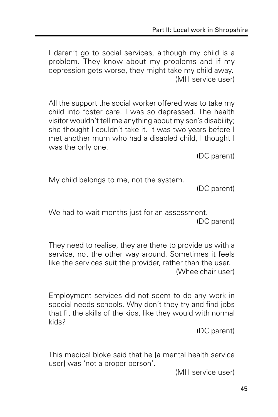I daren't go to social services, although my child is a problem. They know about my problems and if my depression gets worse, they might take my child away. (MH service user)

All the support the social worker offered was to take my child into foster care. I was so depressed. The health visitor wouldn't tell me anything about my son's disability; she thought I couldn't take it. It was two years before I met another mum who had a disabled child, I thought I was the only one.

(DC parent)

My child belongs to me, not the system.

(DC parent)

We had to wait months just for an assessment. (DC parent)

They need to realise, they are there to provide us with a service, not the other way around. Sometimes it feels like the services suit the provider, rather than the user. (Wheelchair user)

Employment services did not seem to do any work in special needs schools. Why don't they try and find jobs that fit the skills of the kids, like they would with normal kids?

(DC parent)

This medical bloke said that he [a mental health service user] was 'not a proper person'.

(MH service user)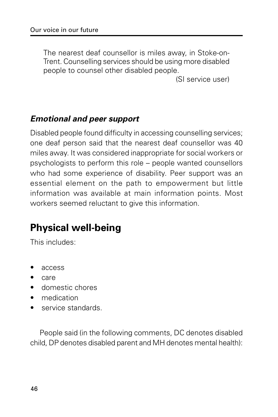The nearest deaf counsellor is miles away, in Stoke-on-Trent. Counselling services should be using more disabled people to counsel other disabled people.

(SI service user)

### **Emotional and peer support**

Disabled people found difficulty in accessing counselling services; one deaf person said that the nearest deaf counsellor was 40 miles away. It was considered inappropriate for social workers or psychologists to perform this role – people wanted counsellors who had some experience of disability. Peer support was an essential element on the path to empowerment but little information was available at main information points. Most workers seemed reluctant to give this information.

## **Physical well-being**

This includes:

- access
- care
- domestic chores
- medication
- service standards.

People said (in the following comments, DC denotes disabled child, DP denotes disabled parent and MH denotes mental health):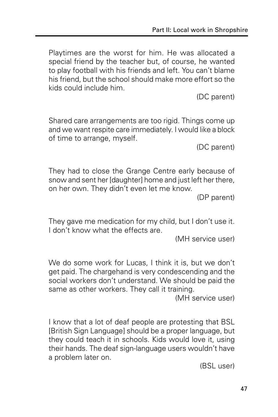Playtimes are the worst for him. He was allocated a special friend by the teacher but, of course, he wanted to play football with his friends and left. You can't blame his friend, but the school should make more effort so the kids could include him.

(DC parent)

Shared care arrangements are too rigid. Things come up and we want respite care immediately. I would like a block of time to arrange, myself.

(DC parent)

They had to close the Grange Centre early because of snow and sent her [daughter] home and just left her there, on her own. They didn't even let me know.

(DP parent)

They gave me medication for my child, but I don't use it. I don't know what the effects are.

(MH service user)

We do some work for Lucas, I think it is, but we don't get paid. The chargehand is very condescending and the social workers don't understand. We should be paid the same as other workers. They call it training.

(MH service user)

I know that a lot of deaf people are protesting that BSL [British Sign Language] should be a proper language, but they could teach it in schools. Kids would love it, using their hands. The deaf sign-language users wouldn't have a problem later on.

(BSL user)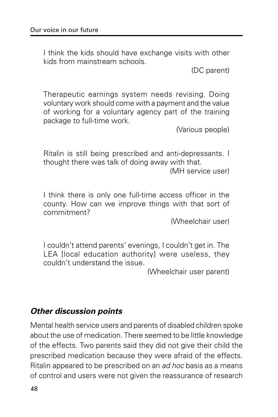I think the kids should have exchange visits with other kids from mainstream schools.

(DC parent)

Therapeutic earnings system needs revising. Doing voluntary work should come with a payment and the value of working for a voluntary agency part of the training package to full-time work.

(Various people)

Ritalin is still being prescribed and anti-depressants. I thought there was talk of doing away with that.

(MH service user)

I think there is only one full-time access officer in the county. How can we improve things with that sort of commitment?

(Wheelchair user)

I couldn't attend parents' evenings, I couldn't get in. The LEA [local education authority] were useless, they couldn't understand the issue.

(Wheelchair user parent)

### **Other discussion points**

Mental health service users and parents of disabled children spoke about the use of medication. There seemed to be little knowledge of the effects. Two parents said they did not give their child the prescribed medication because they were afraid of the effects. Ritalin appeared to be prescribed on an ad hoc basis as a means of control and users were not given the reassurance of research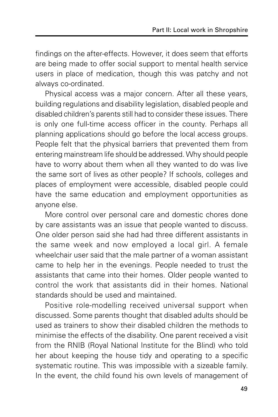findings on the after-effects. However, it does seem that efforts are being made to offer social support to mental health service users in place of medication, though this was patchy and not always co-ordinated.

Physical access was a major concern. After all these years, building regulations and disability legislation, disabled people and disabled children's parents still had to consider these issues. There is only one full-time access officer in the county. Perhaps all planning applications should go before the local access groups. People felt that the physical barriers that prevented them from entering mainstream life should be addressed. Why should people have to worry about them when all they wanted to do was live the same sort of lives as other people? If schools, colleges and places of employment were accessible, disabled people could have the same education and employment opportunities as anyone else.

More control over personal care and domestic chores done by care assistants was an issue that people wanted to discuss. One older person said she had had three different assistants in the same week and now employed a local girl. A female wheelchair user said that the male partner of a woman assistant came to help her in the evenings. People needed to trust the assistants that came into their homes. Older people wanted to control the work that assistants did in their homes. National standards should be used and maintained.

Positive role-modelling received universal support when discussed. Some parents thought that disabled adults should be used as trainers to show their disabled children the methods to minimise the effects of the disability. One parent received a visit from the RNIB (Royal National Institute for the Blind) who told her about keeping the house tidy and operating to a specific systematic routine. This was impossible with a sizeable family. In the event, the child found his own levels of management of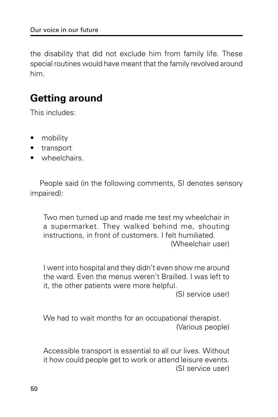the disability that did not exclude him from family life. These special routines would have meant that the family revolved around him.

## **Getting around**

This includes:

- mobility
- transport
- wheelchairs.

People said (in the following comments, SI denotes sensory impaired):

Two men turned up and made me test my wheelchair in a supermarket. They walked behind me, shouting instructions, in front of customers. I felt humiliated. (Wheelchair user)

I went into hospital and they didn't even show me around the ward. Even the menus weren't Brailled. I was left to it, the other patients were more helpful.

(SI service user)

We had to wait months for an occupational therapist. (Various people)

Accessible transport is essential to all our lives. Without it how could people get to work or attend leisure events. (SI service user)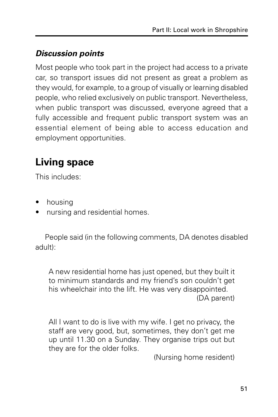### **Discussion points**

Most people who took part in the project had access to a private car, so transport issues did not present as great a problem as they would, for example, to a group of visually or learning disabled people, who relied exclusively on public transport. Nevertheless, when public transport was discussed, everyone agreed that a fully accessible and frequent public transport system was an essential element of being able to access education and employment opportunities.

## **Living space**

This includes:

- housing
- nursing and residential homes.

People said (in the following comments, DA denotes disabled adult):

A new residential home has just opened, but they built it to minimum standards and my friend's son couldn't get his wheelchair into the lift. He was very disappointed. (DA parent)

All I want to do is live with my wife. I get no privacy, the staff are very good, but, sometimes, they don't get me up until 11.30 on a Sunday. They organise trips out but they are for the older folks.

(Nursing home resident)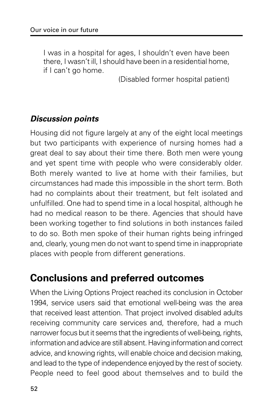I was in a hospital for ages, I shouldn't even have been there, I wasn't ill, I should have been in a residential home, if I can't go home.

(Disabled former hospital patient)

### **Discussion points**

Housing did not figure largely at any of the eight local meetings but two participants with experience of nursing homes had a great deal to say about their time there. Both men were young and yet spent time with people who were considerably older. Both merely wanted to live at home with their families, but circumstances had made this impossible in the short term. Both had no complaints about their treatment, but felt isolated and unfulfilled. One had to spend time in a local hospital, although he had no medical reason to be there. Agencies that should have been working together to find solutions in both instances failed to do so. Both men spoke of their human rights being infringed and, clearly, young men do not want to spend time in inappropriate places with people from different generations.

### **Conclusions and preferred outcomes**

When the Living Options Project reached its conclusion in October 1994, service users said that emotional well-being was the area that received least attention. That project involved disabled adults receiving community care services and, therefore, had a much narrower focus but it seems that the ingredients of well-being, rights, information and advice are still absent. Having information and correct advice, and knowing rights, will enable choice and decision making, and lead to the type of independence enjoyed by the rest of society. People need to feel good about themselves and to build the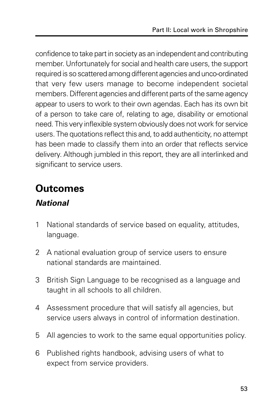confidence to take part in society as an independent and contributing member. Unfortunately for social and health care users, the support required is so scattered among different agencies and unco-ordinated that very few users manage to become independent societal members. Different agencies and different parts of the same agency appear to users to work to their own agendas. Each has its own bit of a person to take care of, relating to age, disability or emotional need. This very inflexible system obviously does not work for service users. The quotations reflect this and, to add authenticity, no attempt has been made to classify them into an order that reflects service delivery. Although jumbled in this report, they are all interlinked and significant to service users.

## **Outcomes**

### **National**

- 1 National standards of service based on equality, attitudes, language.
- 2 A national evaluation group of service users to ensure national standards are maintained.
- 3 British Sign Language to be recognised as a language and taught in all schools to all children.
- 4 Assessment procedure that will satisfy all agencies, but service users always in control of information destination.
- 5 All agencies to work to the same equal opportunities policy.
- 6 Published rights handbook, advising users of what to expect from service providers.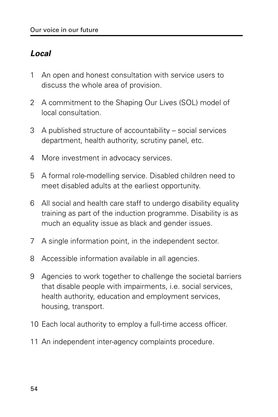### **Local**

- 1 An open and honest consultation with service users to discuss the whole area of provision.
- 2 A commitment to the Shaping Our Lives (SOL) model of local consultation.
- 3 A published structure of accountability social services department, health authority, scrutiny panel, etc.
- 4 More investment in advocacy services.
- 5 A formal role-modelling service. Disabled children need to meet disabled adults at the earliest opportunity.
- 6 All social and health care staff to undergo disability equality training as part of the induction programme. Disability is as much an equality issue as black and gender issues.
- 7 A single information point, in the independent sector.
- 8 Accessible information available in all agencies.
- 9 Agencies to work together to challenge the societal barriers that disable people with impairments, i.e. social services, health authority, education and employment services, housing, transport.
- 10 Each local authority to employ a full-time access officer.
- 11 An independent inter-agency complaints procedure.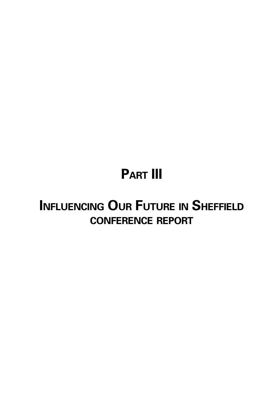# **PART III**

## **INFLUENCING OUR FUTURE IN SHEFFIELD CONFERENCE REPORT**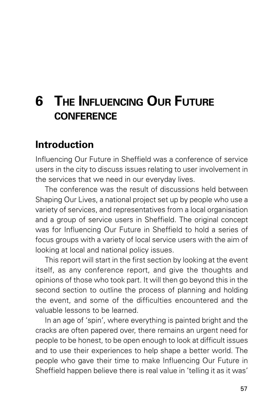## **6 THE INFLUENCING OUR FUTURE CONFERENCE**

## **Introduction**

Influencing Our Future in Sheffield was a conference of service users in the city to discuss issues relating to user involvement in the services that we need in our everyday lives.

The conference was the result of discussions held between Shaping Our Lives, a national project set up by people who use a variety of services, and representatives from a local organisation and a group of service users in Sheffield. The original concept was for Influencing Our Future in Sheffield to hold a series of focus groups with a variety of local service users with the aim of looking at local and national policy issues.

This report will start in the first section by looking at the event itself, as any conference report, and give the thoughts and opinions of those who took part. It will then go beyond this in the second section to outline the process of planning and holding the event, and some of the difficulties encountered and the valuable lessons to be learned.

In an age of 'spin', where everything is painted bright and the cracks are often papered over, there remains an urgent need for people to be honest, to be open enough to look at difficult issues and to use their experiences to help shape a better world. The people who gave their time to make Influencing Our Future in Sheffield happen believe there is real value in 'telling it as it was'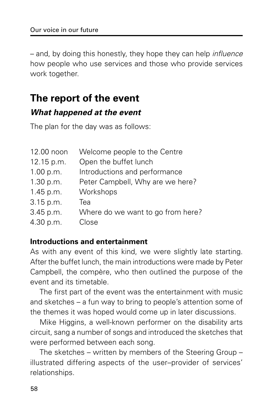– and, by doing this honestly, they hope they can help influence how people who use services and those who provide services work together.

## **The report of the event**

### **What happened at the event**

The plan for the day was as follows:

| 12.00 noon | Welcome people to the Centre      |
|------------|-----------------------------------|
| 12.15 p.m. | Open the buffet lunch             |
| 1.00 p.m.  | Introductions and performance     |
| 1.30 p.m.  | Peter Campbell, Why are we here?  |
| 1.45 p.m.  | Workshops                         |
| 3.15 p.m.  | Tea                               |
| 3.45 p.m.  | Where do we want to go from here? |
| 4.30 p.m.  | Close                             |

#### **Introductions and entertainment**

As with any event of this kind, we were slightly late starting. After the buffet lunch, the main introductions were made by Peter Campbell, the compère, who then outlined the purpose of the event and its timetable.

The first part of the event was the entertainment with music and sketches – a fun way to bring to people's attention some of the themes it was hoped would come up in later discussions.

Mike Higgins, a well-known performer on the disability arts circuit, sang a number of songs and introduced the sketches that were performed between each song.

The sketches – written by members of the Steering Group – illustrated differing aspects of the user–provider of services' relationships.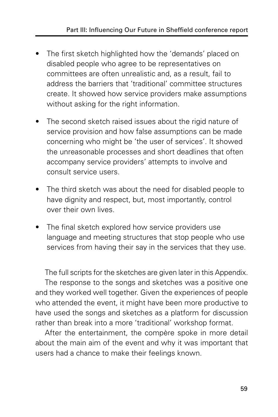- The first sketch highlighted how the 'demands' placed on disabled people who agree to be representatives on committees are often unrealistic and, as a result, fail to address the barriers that 'traditional' committee structures create. It showed how service providers make assumptions without asking for the right information.
- The second sketch raised issues about the rigid nature of service provision and how false assumptions can be made concerning who might be 'the user of services'. It showed the unreasonable processes and short deadlines that often accompany service providers' attempts to involve and consult service users.
- The third sketch was about the need for disabled people to have dignity and respect, but, most importantly, control over their own lives.
- The final sketch explored how service providers use language and meeting structures that stop people who use services from having their say in the services that they use.

The full scripts for the sketches are given later in this Appendix.

The response to the songs and sketches was a positive one and they worked well together. Given the experiences of people who attended the event, it might have been more productive to have used the songs and sketches as a platform for discussion rather than break into a more 'traditional' workshop format.

After the entertainment, the compère spoke in more detail about the main aim of the event and why it was important that users had a chance to make their feelings known.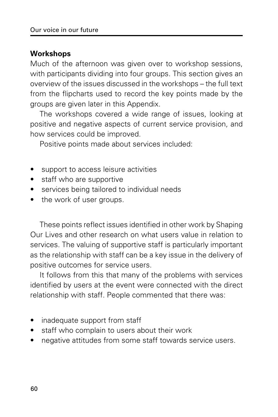### **Workshops**

Much of the afternoon was given over to workshop sessions, with participants dividing into four groups. This section gives an overview of the issues discussed in the workshops – the full text from the flipcharts used to record the key points made by the groups are given later in this Appendix.

The workshops covered a wide range of issues, looking at positive and negative aspects of current service provision, and how services could be improved.

Positive points made about services included:

- support to access leisure activities
- staff who are supportive
- services being tailored to individual needs
- the work of user groups.

These points reflect issues identified in other work by Shaping Our Lives and other research on what users value in relation to services. The valuing of supportive staff is particularly important as the relationship with staff can be a key issue in the delivery of positive outcomes for service users.

It follows from this that many of the problems with services identified by users at the event were connected with the direct relationship with staff. People commented that there was:

- inadequate support from staff
- staff who complain to users about their work
- negative attitudes from some staff towards service users.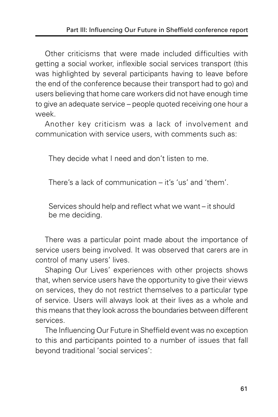Other criticisms that were made included difficulties with getting a social worker, inflexible social services transport (this was highlighted by several participants having to leave before the end of the conference because their transport had to go) and users believing that home care workers did not have enough time to give an adequate service – people quoted receiving one hour a week.

Another key criticism was a lack of involvement and communication with service users, with comments such as:

They decide what I need and don't listen to me.

There's a lack of communication – it's 'us' and 'them'.

Services should help and reflect what we want – it should be me deciding.

There was a particular point made about the importance of service users being involved. It was observed that carers are in control of many users' lives.

Shaping Our Lives' experiences with other projects shows that, when service users have the opportunity to give their views on services, they do not restrict themselves to a particular type of service. Users will always look at their lives as a whole and this means that they look across the boundaries between different services.

The Influencing Our Future in Sheffield event was no exception to this and participants pointed to a number of issues that fall beyond traditional 'social services':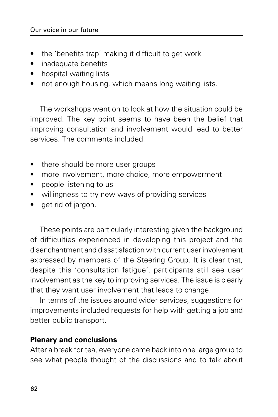- the 'benefits trap' making it difficult to get work
- inadequate benefits
- hospital waiting lists
- not enough housing, which means long waiting lists.

The workshops went on to look at how the situation could be improved. The key point seems to have been the belief that improving consultation and involvement would lead to better services. The comments included:

- there should be more user groups
- more involvement, more choice, more empowerment
- people listening to us
- willingness to try new ways of providing services
- get rid of jargon.

These points are particularly interesting given the background of difficulties experienced in developing this project and the disenchantment and dissatisfaction with current user involvement expressed by members of the Steering Group. It is clear that, despite this 'consultation fatigue', participants still see user involvement as the key to improving services. The issue is clearly that they want user involvement that leads to change.

In terms of the issues around wider services, suggestions for improvements included requests for help with getting a job and better public transport.

#### **Plenary and conclusions**

After a break for tea, everyone came back into one large group to see what people thought of the discussions and to talk about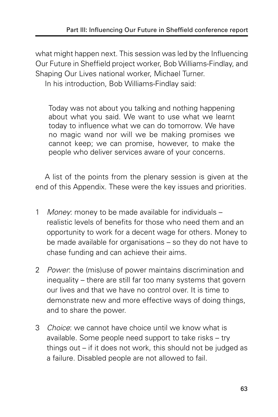what might happen next. This session was led by the Influencing Our Future in Sheffield project worker, Bob Williams-Findlay, and Shaping Our Lives national worker, Michael Turner.

In his introduction, Bob Williams-Findlay said:

Today was not about you talking and nothing happening about what you said. We want to use what we learnt today to influence what we can do tomorrow. We have no magic wand nor will we be making promises we cannot keep; we can promise, however, to make the people who deliver services aware of your concerns.

A list of the points from the plenary session is given at the end of this Appendix. These were the key issues and priorities.

- 1 Money: money to be made available for individuals realistic levels of benefits for those who need them and an opportunity to work for a decent wage for others. Money to be made available for organisations – so they do not have to chase funding and can achieve their aims.
- 2 *Power*: the (mis)use of power maintains discrimination and inequality – there are still far too many systems that govern our lives and that we have no control over. It is time to demonstrate new and more effective ways of doing things, and to share the power.
- 3 Choice: we cannot have choice until we know what is available. Some people need support to take risks – try things out – if it does not work, this should not be judged as a failure. Disabled people are not allowed to fail.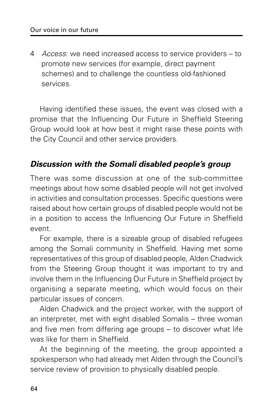4 Access: we need increased access to service providers – to promote new services (for example, direct payment schemes) and to challenge the countless old-fashioned services.

Having identified these issues, the event was closed with a promise that the Influencing Our Future in Sheffield Steering Group would look at how best it might raise these points with the City Council and other service providers.

### **Discussion with the Somali disabled people's group**

There was some discussion at one of the sub-committee meetings about how some disabled people will not get involved in activities and consultation processes. Specific questions were raised about how certain groups of disabled people would not be in a position to access the Influencing Our Future in Sheffield event.

For example, there is a sizeable group of disabled refugees among the Somali community in Sheffield. Having met some representatives of this group of disabled people, Alden Chadwick from the Steering Group thought it was important to try and involve them in the Influencing Our Future in Sheffield project by organising a separate meeting, which would focus on their particular issues of concern.

Alden Chadwick and the project worker, with the support of an interpreter, met with eight disabled Somalis – three woman and five men from differing age groups – to discover what life was like for them in Sheffield.

At the beginning of the meeting, the group appointed a spokesperson who had already met Alden through the Council's service review of provision to physically disabled people.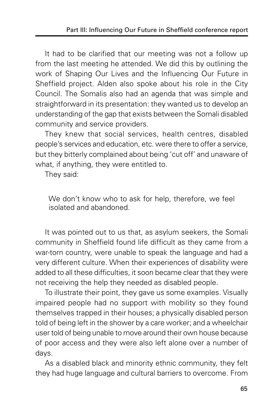It had to be clarified that our meeting was not a follow up from the last meeting he attended. We did this by outlining the work of Shaping Our Lives and the Influencing Our Future in Sheffield project. Alden also spoke about his role in the City Council. The Somalis also had an agenda that was simple and straightforward in its presentation: they wanted us to develop an understanding of the gap that exists between the Somali disabled community and service providers.

They knew that social services, health centres, disabled people's services and education, etc. were there to offer a service, but they bitterly complained about being 'cut off' and unaware of what, if anything, they were entitled to.

They said:

We don't know who to ask for help, therefore, we feel isolated and abandoned.

It was pointed out to us that, as asylum seekers, the Somali community in Sheffield found life difficult as they came from a war-torn country, were unable to speak the language and had a very different culture. When their experiences of disability were added to all these difficulties, it soon became clear that they were not receiving the help they needed as disabled people.

To illustrate their point, they gave us some examples. Visually impaired people had no support with mobility so they found themselves trapped in their houses; a physically disabled person told of being left in the shower by a care worker; and a wheelchair user told of being unable to move around their own house because of poor access and they were also left alone over a number of days.

As a disabled black and minority ethnic community, they felt they had huge language and cultural barriers to overcome. From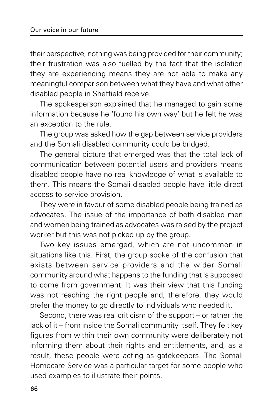their perspective, nothing was being provided for their community; their frustration was also fuelled by the fact that the isolation they are experiencing means they are not able to make any meaningful comparison between what they have and what other disabled people in Sheffield receive.

The spokesperson explained that he managed to gain some information because he 'found his own way' but he felt he was an exception to the rule.

The group was asked how the gap between service providers and the Somali disabled community could be bridged.

The general picture that emerged was that the total lack of communication between potential users and providers means disabled people have no real knowledge of what is available to them. This means the Somali disabled people have little direct access to service provision.

They were in favour of some disabled people being trained as advocates. The issue of the importance of both disabled men and women being trained as advocates was raised by the project worker but this was not picked up by the group.

Two key issues emerged, which are not uncommon in situations like this. First, the group spoke of the confusion that exists between service providers and the wider Somali community around what happens to the funding that is supposed to come from government. It was their view that this funding was not reaching the right people and, therefore, they would prefer the money to go directly to individuals who needed it.

Second, there was real criticism of the support – or rather the lack of it – from inside the Somali community itself. They felt key figures from within their own community were deliberately not informing them about their rights and entitlements, and, as a result, these people were acting as gatekeepers. The Somali Homecare Service was a particular target for some people who used examples to illustrate their points.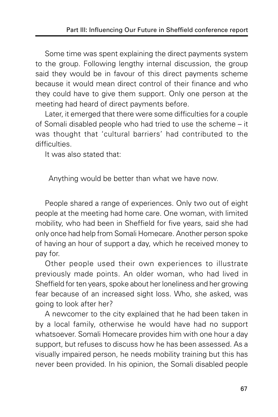Some time was spent explaining the direct payments system to the group. Following lengthy internal discussion, the group said they would be in favour of this direct payments scheme because it would mean direct control of their finance and who they could have to give them support. Only one person at the meeting had heard of direct payments before.

Later, it emerged that there were some difficulties for a couple of Somali disabled people who had tried to use the scheme – it was thought that 'cultural barriers' had contributed to the difficulties.

It was also stated that:

Anything would be better than what we have now.

People shared a range of experiences. Only two out of eight people at the meeting had home care. One woman, with limited mobility, who had been in Sheffield for five years, said she had only once had help from Somali Homecare. Another person spoke of having an hour of support a day, which he received money to pay for.

Other people used their own experiences to illustrate previously made points. An older woman, who had lived in Sheffield for ten years, spoke about her loneliness and her growing fear because of an increased sight loss. Who, she asked, was going to look after her?

A newcomer to the city explained that he had been taken in by a local family, otherwise he would have had no support whatsoever. Somali Homecare provides him with one hour a day support, but refuses to discuss how he has been assessed. As a visually impaired person, he needs mobility training but this has never been provided. In his opinion, the Somali disabled people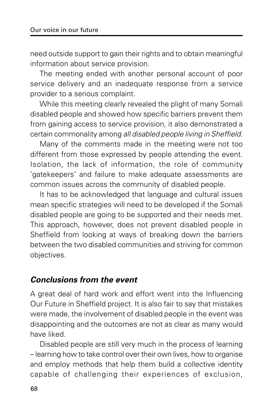need outside support to gain their rights and to obtain meaningful information about service provision.

The meeting ended with another personal account of poor service delivery and an inadequate response from a service provider to a serious complaint.

While this meeting clearly revealed the plight of many Somali disabled people and showed how specific barriers prevent them from gaining access to service provision, it also demonstrated a certain commonality among all disabled people living in Sheffield.

Many of the comments made in the meeting were not too different from those expressed by people attending the event. Isolation, the lack of information, the role of community 'gatekeepers' and failure to make adequate assessments are common issues across the community of disabled people.

It has to be acknowledged that language and cultural issues mean specific strategies will need to be developed if the Somali disabled people are going to be supported and their needs met. This approach, however, does not prevent disabled people in Sheffield from looking at ways of breaking down the barriers between the two disabled communities and striving for common objectives.

#### **Conclusions from the event**

A great deal of hard work and effort went into the Influencing Our Future in Sheffield project. It is also fair to say that mistakes were made, the involvement of disabled people in the event was disappointing and the outcomes are not as clear as many would have liked.

Disabled people are still very much in the process of learning – learning how to take control over their own lives, how to organise and employ methods that help them build a collective identity capable of challenging their experiences of exclusion,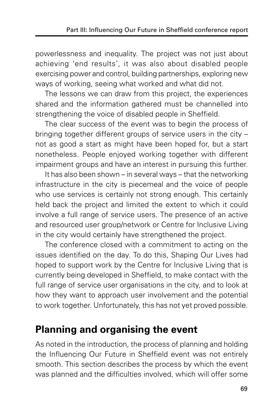powerlessness and inequality. The project was not just about achieving 'end results', it was also about disabled people exercising power and control, building partnerships, exploring new ways of working, seeing what worked and what did not.

The lessons we can draw from this project, the experiences shared and the information gathered must be channelled into strengthening the voice of disabled people in Sheffield.

The clear success of the event was to begin the process of bringing together different groups of service users in the city – not as good a start as might have been hoped for, but a start nonetheless. People enjoyed working together with different impairment groups and have an interest in pursuing this further.

It has also been shown – in several ways – that the networking infrastructure in the city is piecemeal and the voice of people who use services is certainly not strong enough. This certainly held back the project and limited the extent to which it could involve a full range of service users. The presence of an active and resourced user group/network or Centre for Inclusive Living in the city would certainly have strengthened the project.

The conference closed with a commitment to acting on the issues identified on the day. To do this, Shaping Our Lives had hoped to support work by the Centre for Inclusive Living that is currently being developed in Sheffield, to make contact with the full range of service user organisations in the city, and to look at how they want to approach user involvement and the potential to work together. Unfortunately, this has not yet proved possible.

# **Planning and organising the event**

As noted in the introduction, the process of planning and holding the Influencing Our Future in Sheffield event was not entirely smooth. This section describes the process by which the event was planned and the difficulties involved, which will offer some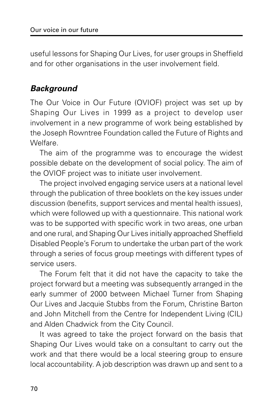useful lessons for Shaping Our Lives, for user groups in Sheffield and for other organisations in the user involvement field.

## **Background**

The Our Voice in Our Future (OVIOF) project was set up by Shaping Our Lives in 1999 as a project to develop user involvement in a new programme of work being established by the Joseph Rowntree Foundation called the Future of Rights and Welfare.

The aim of the programme was to encourage the widest possible debate on the development of social policy. The aim of the OVIOF project was to initiate user involvement.

The project involved engaging service users at a national level through the publication of three booklets on the key issues under discussion (benefits, support services and mental health issues), which were followed up with a questionnaire. This national work was to be supported with specific work in two areas, one urban and one rural, and Shaping Our Lives initially approached Sheffield Disabled People's Forum to undertake the urban part of the work through a series of focus group meetings with different types of service users.

The Forum felt that it did not have the capacity to take the project forward but a meeting was subsequently arranged in the early summer of 2000 between Michael Turner from Shaping Our Lives and Jacquie Stubbs from the Forum, Christine Barton and John Mitchell from the Centre for Independent Living (CIL) and Alden Chadwick from the City Council.

It was agreed to take the project forward on the basis that Shaping Our Lives would take on a consultant to carry out the work and that there would be a local steering group to ensure local accountability. A job description was drawn up and sent to a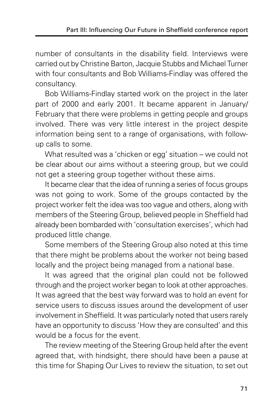number of consultants in the disability field. Interviews were carried out by Christine Barton, Jacquie Stubbs and Michael Turner with four consultants and Bob Williams-Findlay was offered the consultancy.

Bob Williams-Findlay started work on the project in the later part of 2000 and early 2001. It became apparent in January/ February that there were problems in getting people and groups involved. There was very little interest in the project despite information being sent to a range of organisations, with followup calls to some.

What resulted was a 'chicken or egg' situation – we could not be clear about our aims without a steering group, but we could not get a steering group together without these aims.

It became clear that the idea of running a series of focus groups was not going to work. Some of the groups contacted by the project worker felt the idea was too vague and others, along with members of the Steering Group, believed people in Sheffield had already been bombarded with 'consultation exercises', which had produced little change.

Some members of the Steering Group also noted at this time that there might be problems about the worker not being based locally and the project being managed from a national base.

It was agreed that the original plan could not be followed through and the project worker began to look at other approaches. It was agreed that the best way forward was to hold an event for service users to discuss issues around the development of user involvement in Sheffield. It was particularly noted that users rarely have an opportunity to discuss 'How they are consulted' and this would be a focus for the event.

The review meeting of the Steering Group held after the event agreed that, with hindsight, there should have been a pause at this time for Shaping Our Lives to review the situation, to set out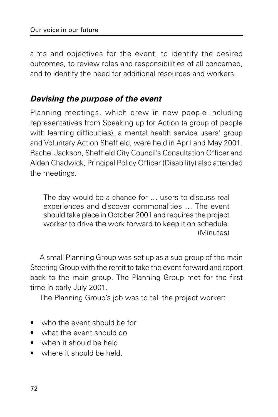aims and objectives for the event, to identify the desired outcomes, to review roles and responsibilities of all concerned, and to identify the need for additional resources and workers.

### **Devising the purpose of the event**

Planning meetings, which drew in new people including representatives from Speaking up for Action (a group of people with learning difficulties), a mental health service users' group and Voluntary Action Sheffield, were held in April and May 2001. Rachel Jackson, Sheffield City Council's Consultation Officer and Alden Chadwick, Principal Policy Officer (Disability) also attended the meetings.

The day would be a chance for … users to discuss real experiences and discover commonalities … The event should take place in October 2001 and requires the project worker to drive the work forward to keep it on schedule. (Minutes)

A small Planning Group was set up as a sub-group of the main Steering Group with the remit to take the event forward and report back to the main group. The Planning Group met for the first time in early July 2001.

The Planning Group's job was to tell the project worker:

- who the event should be for
- what the event should do
- when it should be held
- where it should be held.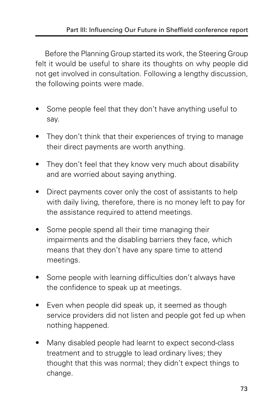Before the Planning Group started its work, the Steering Group felt it would be useful to share its thoughts on why people did not get involved in consultation. Following a lengthy discussion, the following points were made.

- Some people feel that they don't have anything useful to say.
- They don't think that their experiences of trying to manage their direct payments are worth anything.
- They don't feel that they know very much about disability and are worried about saying anything.
- Direct payments cover only the cost of assistants to help with daily living, therefore, there is no money left to pay for the assistance required to attend meetings.
- Some people spend all their time managing their impairments and the disabling barriers they face, which means that they don't have any spare time to attend meetings.
- Some people with learning difficulties don't always have the confidence to speak up at meetings.
- Even when people did speak up, it seemed as though service providers did not listen and people got fed up when nothing happened.
- Many disabled people had learnt to expect second-class treatment and to struggle to lead ordinary lives; they thought that this was normal; they didn't expect things to change.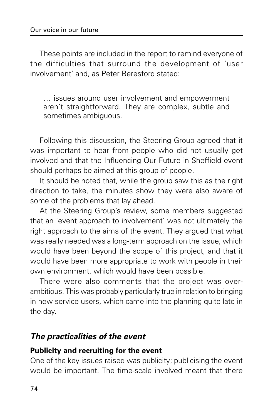These points are included in the report to remind everyone of the difficulties that surround the development of 'user involvement' and, as Peter Beresford stated:

… issues around user involvement and empowerment aren't straightforward. They are complex, subtle and sometimes ambiguous.

Following this discussion, the Steering Group agreed that it was important to hear from people who did not usually get involved and that the Influencing Our Future in Sheffield event should perhaps be aimed at this group of people.

It should be noted that, while the group saw this as the right direction to take, the minutes show they were also aware of some of the problems that lay ahead.

At the Steering Group's review, some members suggested that an 'event approach to involvement' was not ultimately the right approach to the aims of the event. They argued that what was really needed was a long-term approach on the issue, which would have been beyond the scope of this project, and that it would have been more appropriate to work with people in their own environment, which would have been possible.

There were also comments that the project was overambitious. This was probably particularly true in relation to bringing in new service users, which came into the planning quite late in the day.

#### **The practicalities of the event**

#### **Publicity and recruiting for the event**

One of the key issues raised was publicity; publicising the event would be important. The time-scale involved meant that there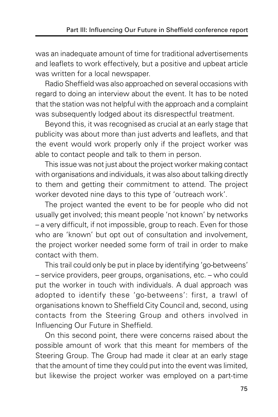was an inadequate amount of time for traditional advertisements and leaflets to work effectively, but a positive and upbeat article was written for a local newspaper.

Radio Sheffield was also approached on several occasions with regard to doing an interview about the event. It has to be noted that the station was not helpful with the approach and a complaint was subsequently lodged about its disrespectful treatment.

Beyond this, it was recognised as crucial at an early stage that publicity was about more than just adverts and leaflets, and that the event would work properly only if the project worker was able to contact people and talk to them in person.

This issue was not just about the project worker making contact with organisations and individuals, it was also about talking directly to them and getting their commitment to attend. The project worker devoted nine days to this type of 'outreach work'.

The project wanted the event to be for people who did not usually get involved; this meant people 'not known' by networks – a very difficult, if not impossible, group to reach. Even for those who are 'known' but opt out of consultation and involvement, the project worker needed some form of trail in order to make contact with them.

This trail could only be put in place by identifying 'go-betweens' – service providers, peer groups, organisations, etc. – who could put the worker in touch with individuals. A dual approach was adopted to identify these 'go-betweens': first, a trawl of organisations known to Sheffield City Council and, second, using contacts from the Steering Group and others involved in Influencing Our Future in Sheffield.

On this second point, there were concerns raised about the possible amount of work that this meant for members of the Steering Group. The Group had made it clear at an early stage that the amount of time they could put into the event was limited, but likewise the project worker was employed on a part-time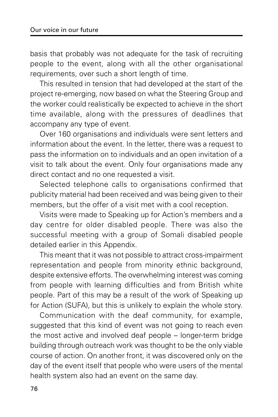basis that probably was not adequate for the task of recruiting people to the event, along with all the other organisational requirements, over such a short length of time.

This resulted in tension that had developed at the start of the project re-emerging, now based on what the Steering Group and the worker could realistically be expected to achieve in the short time available, along with the pressures of deadlines that accompany any type of event.

Over 160 organisations and individuals were sent letters and information about the event. In the letter, there was a request to pass the information on to individuals and an open invitation of a visit to talk about the event. Only four organisations made any direct contact and no one requested a visit.

Selected telephone calls to organisations confirmed that publicity material had been received and was being given to their members, but the offer of a visit met with a cool reception.

Visits were made to Speaking up for Action's members and a day centre for older disabled people. There was also the successful meeting with a group of Somali disabled people detailed earlier in this Appendix.

This meant that it was not possible to attract cross-impairment representation and people from minority ethnic background, despite extensive efforts. The overwhelming interest was coming from people with learning difficulties and from British white people. Part of this may be a result of the work of Speaking up for Action (SUFA), but this is unlikely to explain the whole story.

Communication with the deaf community, for example, suggested that this kind of event was not going to reach even the most active and involved deaf people – longer-term bridge building through outreach work was thought to be the only viable course of action. On another front, it was discovered only on the day of the event itself that people who were users of the mental health system also had an event on the same day.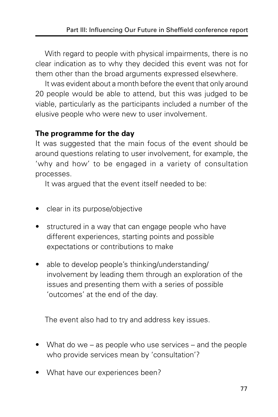With regard to people with physical impairments, there is no clear indication as to why they decided this event was not for them other than the broad arguments expressed elsewhere.

It was evident about a month before the event that only around 20 people would be able to attend, but this was judged to be viable, particularly as the participants included a number of the elusive people who were new to user involvement.

#### **The programme for the day**

It was suggested that the main focus of the event should be around questions relating to user involvement, for example, the 'why and how' to be engaged in a variety of consultation processes.

It was argued that the event itself needed to be:

- clear in its purpose/objective
- structured in a way that can engage people who have different experiences, starting points and possible expectations or contributions to make
- able to develop people's thinking/understanding/ involvement by leading them through an exploration of the issues and presenting them with a series of possible 'outcomes' at the end of the day.

The event also had to try and address key issues.

- What do we as people who use services and the people who provide services mean by 'consultation'?
- What have our experiences been?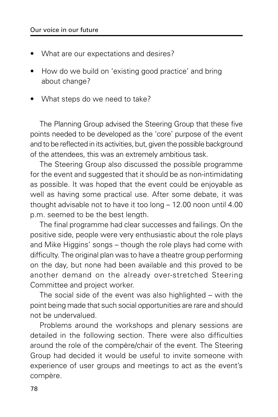- What are our expectations and desires?
- How do we build on 'existing good practice' and bring about change?
- What steps do we need to take?

The Planning Group advised the Steering Group that these five points needed to be developed as the 'core' purpose of the event and to be reflected in its activities, but, given the possible background of the attendees, this was an extremely ambitious task.

The Steering Group also discussed the possible programme for the event and suggested that it should be as non-intimidating as possible. It was hoped that the event could be enjoyable as well as having some practical use. After some debate, it was thought advisable not to have it too long – 12.00 noon until 4.00 p.m. seemed to be the best length.

The final programme had clear successes and failings. On the positive side, people were very enthusiastic about the role plays and Mike Higgins' songs – though the role plays had come with difficulty. The original plan was to have a theatre group performing on the day, but none had been available and this proved to be another demand on the already over-stretched Steering Committee and project worker.

The social side of the event was also highlighted – with the point being made that such social opportunities are rare and should not be undervalued.

Problems around the workshops and plenary sessions are detailed in the following section. There were also difficulties around the role of the compère/chair of the event. The Steering Group had decided it would be useful to invite someone with experience of user groups and meetings to act as the event's compère.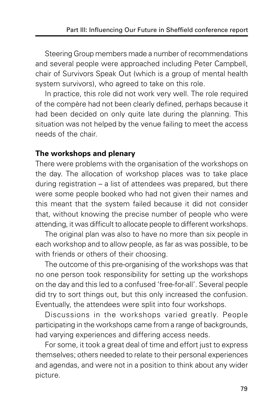Steering Group members made a number of recommendations and several people were approached including Peter Campbell, chair of Survivors Speak Out (which is a group of mental health system survivors), who agreed to take on this role.

In practice, this role did not work very well. The role required of the compère had not been clearly defined, perhaps because it had been decided on only quite late during the planning. This situation was not helped by the venue failing to meet the access needs of the chair.

### **The workshops and plenary**

There were problems with the organisation of the workshops on the day. The allocation of workshop places was to take place during registration – a list of attendees was prepared, but there were some people booked who had not given their names and this meant that the system failed because it did not consider that, without knowing the precise number of people who were attending, it was difficult to allocate people to different workshops.

The original plan was also to have no more than six people in each workshop and to allow people, as far as was possible, to be with friends or others of their choosing.

The outcome of this pre-organising of the workshops was that no one person took responsibility for setting up the workshops on the day and this led to a confused 'free-for-all'. Several people did try to sort things out, but this only increased the confusion. Eventually, the attendees were split into four workshops.

Discussions in the workshops varied greatly. People participating in the workshops came from a range of backgrounds, had varying experiences and differing access needs.

For some, it took a great deal of time and effort just to express themselves; others needed to relate to their personal experiences and agendas, and were not in a position to think about any wider picture.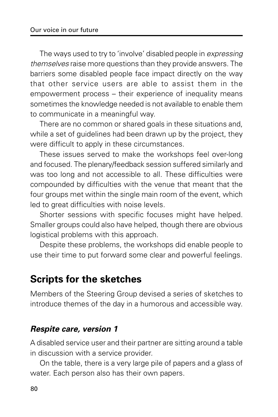The ways used to try to 'involve' disabled people in expressing themselves raise more questions than they provide answers. The barriers some disabled people face impact directly on the way that other service users are able to assist them in the empowerment process – their experience of inequality means sometimes the knowledge needed is not available to enable them to communicate in a meaningful way.

There are no common or shared goals in these situations and, while a set of guidelines had been drawn up by the project, they were difficult to apply in these circumstances.

These issues served to make the workshops feel over-long and focused. The plenary/feedback session suffered similarly and was too long and not accessible to all. These difficulties were compounded by difficulties with the venue that meant that the four groups met within the single main room of the event, which led to great difficulties with noise levels.

Shorter sessions with specific focuses might have helped. Smaller groups could also have helped, though there are obvious logistical problems with this approach.

Despite these problems, the workshops did enable people to use their time to put forward some clear and powerful feelings.

# **Scripts for the sketches**

Members of the Steering Group devised a series of sketches to introduce themes of the day in a humorous and accessible way.

## **Respite care, version 1**

A disabled service user and their partner are sitting around a table in discussion with a service provider.

On the table, there is a very large pile of papers and a glass of water. Each person also has their own papers.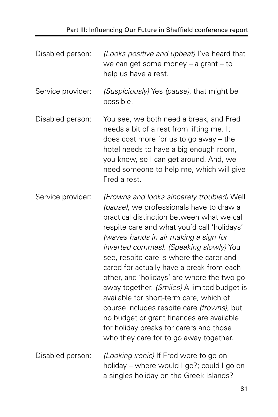| Disabled person:  | (Looks positive and upbeat) I've heard that<br>we can get some money $-$ a grant $-$ to<br>help us have a rest.                                                                                                                                                                                                                                                                                                                                                                                                                                                                                                                                                                          |
|-------------------|------------------------------------------------------------------------------------------------------------------------------------------------------------------------------------------------------------------------------------------------------------------------------------------------------------------------------------------------------------------------------------------------------------------------------------------------------------------------------------------------------------------------------------------------------------------------------------------------------------------------------------------------------------------------------------------|
| Service provider: | (Suspiciously) Yes (pause), that might be<br>possible.                                                                                                                                                                                                                                                                                                                                                                                                                                                                                                                                                                                                                                   |
| Disabled person:  | You see, we both need a break, and Fred<br>needs a bit of a rest from lifting me. It<br>does cost more for us to go away $-$ the<br>hotel needs to have a big enough room,<br>you know, so I can get around. And, we<br>need someone to help me, which will give<br>Fred a rest.                                                                                                                                                                                                                                                                                                                                                                                                         |
| Service provider: | (Frowns and looks sincerely troubled) Well<br>(pause), we professionals have to draw a<br>practical distinction between what we call<br>respite care and what you'd call 'holidays'<br>(waves hands in air making a sign for<br>inverted commas). (Speaking slowly) You<br>see, respite care is where the carer and<br>cared for actually have a break from each<br>other, and 'holidays' are where the two go<br>away together. (Smiles) A limited budget is<br>available for short-term care, which of<br>course includes respite care (frowns), but<br>no budget or grant finances are available<br>for holiday breaks for carers and those<br>who they care for to go away together. |
| Disabled person:  | (Looking ironic) If Fred were to go on<br>holiday – where would I go?; could I go on<br>a singles holiday on the Greek Islands?                                                                                                                                                                                                                                                                                                                                                                                                                                                                                                                                                          |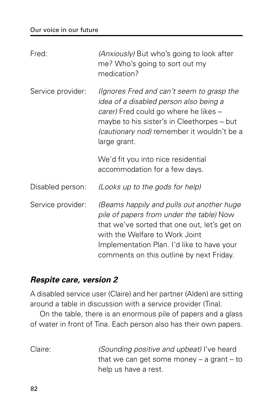| Fred:             | (Anxiously) But who's going to look after<br>me? Who's going to sort out my<br>medication?                                                                                                                                                                        |
|-------------------|-------------------------------------------------------------------------------------------------------------------------------------------------------------------------------------------------------------------------------------------------------------------|
| Service provider: | (Ignores Fred and can't seem to grasp the<br>idea of a disabled person also being a<br>carer) Fred could go where he likes -<br>maybe to his sister's in Cleethorpes – but<br>(cautionary nod) remember it wouldn't be a<br>large grant.                          |
|                   | We'd fit you into nice residential<br>accommodation for a few days.                                                                                                                                                                                               |
| Disabled person:  | (Looks up to the gods for help)                                                                                                                                                                                                                                   |
| Service provider: | (Beams happily and pulls out another huge<br>pile of papers from under the table) Now<br>that we've sorted that one out, let's get on<br>with the Welfare to Work Joint<br>Implementation Plan. I'd like to have your<br>comments on this outline by next Friday. |

## **Respite care, version 2**

A disabled service user (Claire) and her partner (Alden) are sitting around a table in discussion with a service provider (Tina).

On the table, there is an enormous pile of papers and a glass of water in front of Tina. Each person also has their own papers.

Claire: (Sounding positive and upbeat) I've heard that we can get some money  $-$  a grant  $-$  to help us have a rest.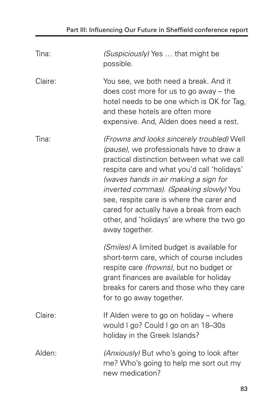| Tina:   | (Suspiciously) Yes  that might be<br>possible.                                                                                                                                                                                                                                                                                                                                                                                   |
|---------|----------------------------------------------------------------------------------------------------------------------------------------------------------------------------------------------------------------------------------------------------------------------------------------------------------------------------------------------------------------------------------------------------------------------------------|
| Claire: | You see, we both need a break. And it<br>does cost more for us to go away $-$ the<br>hotel needs to be one which is OK for Tag,<br>and these hotels are often more<br>expensive. And, Alden does need a rest.                                                                                                                                                                                                                    |
| Tina:   | (Frowns and looks sincerely troubled) Well<br>(pause), we professionals have to draw a<br>practical distinction between what we call<br>respite care and what you'd call 'holidays'<br>(waves hands in air making a sign for<br>inverted commas). (Speaking slowly) You<br>see, respite care is where the carer and<br>cared for actually have a break from each<br>other, and 'holidays' are where the two go<br>away together. |
|         | (Smiles) A limited budget is available for<br>short-term care, which of course includes<br>respite care (frowns), but no budget or<br>grant finances are available for holiday<br>breaks for carers and those who they care<br>for to go away together.                                                                                                                                                                          |
| Claire: | If Alden were to go on holiday – where<br>would I go? Could I go on an 18-30s<br>holiday in the Greek Islands?                                                                                                                                                                                                                                                                                                                   |
| Alden:  | (Anxiously) But who's going to look after<br>me? Who's going to help me sort out my<br>new medication?                                                                                                                                                                                                                                                                                                                           |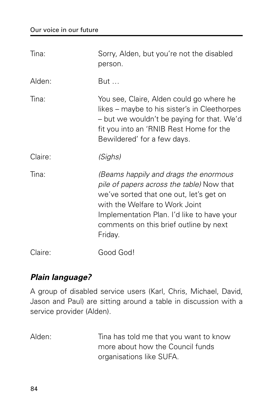| Tina:   | Sorry, Alden, but you're not the disabled<br>person.                                                                                                                                                                                                               |
|---------|--------------------------------------------------------------------------------------------------------------------------------------------------------------------------------------------------------------------------------------------------------------------|
| Alden:  | But                                                                                                                                                                                                                                                                |
| Tina:   | You see, Claire, Alden could go where he<br>likes – maybe to his sister's in Cleethorpes<br>- but we wouldn't be paying for that. We'd<br>fit you into an 'RNIB Rest Home for the<br>Bewildered' for a few days.                                                   |
| Claire: | (Sighs)                                                                                                                                                                                                                                                            |
| Tina:   | (Beams happily and drags the enormous<br>pile of papers across the table) Now that<br>we've sorted that one out, let's get on<br>with the Welfare to Work Joint<br>Implementation Plan. I'd like to have your<br>comments on this brief outline by next<br>Friday. |
| Claire: | Good God!                                                                                                                                                                                                                                                          |

## **Plain language?**

A group of disabled service users (Karl, Chris, Michael, David, Jason and Paul) are sitting around a table in discussion with a service provider (Alden).

Alden: Tina has told me that you want to know more about how the Council funds organisations like SUFA.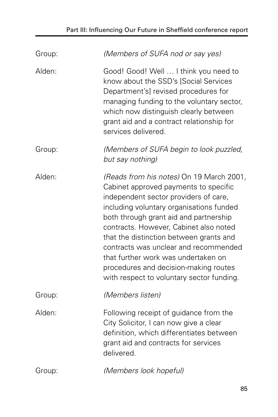| Group: | (Members of SUFA nod or say yes)                                                                                                                                                                                                                                                                                                                                                                                                                                            |
|--------|-----------------------------------------------------------------------------------------------------------------------------------------------------------------------------------------------------------------------------------------------------------------------------------------------------------------------------------------------------------------------------------------------------------------------------------------------------------------------------|
| Alden: | Good! Good! Well  I think you need to<br>know about the SSD's [Social Services<br>Department's] revised procedures for<br>managing funding to the voluntary sector,<br>which now distinguish clearly between<br>grant aid and a contract relationship for<br>services delivered.                                                                                                                                                                                            |
| Group: | (Members of SUFA begin to look puzzled,<br>but say nothing)                                                                                                                                                                                                                                                                                                                                                                                                                 |
| Alden: | (Reads from his notes) On 19 March 2001,<br>Cabinet approved payments to specific<br>independent sector providers of care,<br>including voluntary organisations funded<br>both through grant aid and partnership<br>contracts. However, Cabinet also noted<br>that the distinction between grants and<br>contracts was unclear and recommended<br>that further work was undertaken on<br>procedures and decision-making routes<br>with respect to voluntary sector funding. |
| Group: | (Members listen)                                                                                                                                                                                                                                                                                                                                                                                                                                                            |
| Alden: | Following receipt of guidance from the<br>City Solicitor, I can now give a clear<br>definition, which differentiates between<br>grant aid and contracts for services<br>delivered.                                                                                                                                                                                                                                                                                          |
| Group: | (Members look hopeful)                                                                                                                                                                                                                                                                                                                                                                                                                                                      |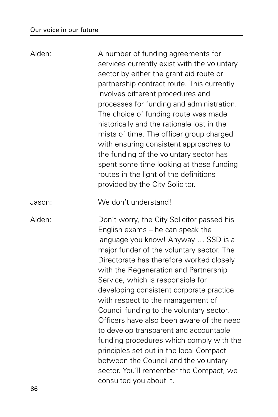| Alden: | A number of funding agreements for<br>services currently exist with the voluntary<br>sector by either the grant aid route or<br>partnership contract route. This currently<br>involves different procedures and<br>processes for funding and administration.<br>The choice of funding route was made<br>historically and the rationale lost in the<br>mists of time. The officer group charged<br>with ensuring consistent approaches to<br>the funding of the voluntary sector has<br>spent some time looking at these funding<br>routes in the light of the definitions<br>provided by the City Solicitor.                                                                                                           |
|--------|------------------------------------------------------------------------------------------------------------------------------------------------------------------------------------------------------------------------------------------------------------------------------------------------------------------------------------------------------------------------------------------------------------------------------------------------------------------------------------------------------------------------------------------------------------------------------------------------------------------------------------------------------------------------------------------------------------------------|
| Jason: | We don't understand!                                                                                                                                                                                                                                                                                                                                                                                                                                                                                                                                                                                                                                                                                                   |
| Alden: | Don't worry, the City Solicitor passed his<br>English exams – he can speak the<br>language you know! Anyway  SSD is a<br>major funder of the voluntary sector. The<br>Directorate has therefore worked closely<br>with the Regeneration and Partnership<br>Service, which is responsible for<br>developing consistent corporate practice<br>with respect to the management of<br>Council funding to the voluntary sector.<br>Officers have also been aware of the need<br>to develop transparent and accountable<br>funding procedures which comply with the<br>principles set out in the local Compact<br>between the Council and the voluntary<br>sector. You'll remember the Compact, we<br>consulted you about it. |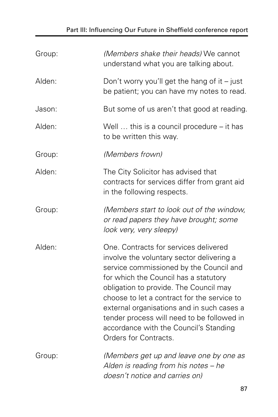# Part III: Influencing Our Future in Sheffield conference report

| Group: | (Members shake their heads) We cannot<br>understand what you are talking about.                                                                                                                                                                                                                                                                                                                                                |
|--------|--------------------------------------------------------------------------------------------------------------------------------------------------------------------------------------------------------------------------------------------------------------------------------------------------------------------------------------------------------------------------------------------------------------------------------|
| Alden: | Don't worry you'll get the hang of it $-$ just<br>be patient; you can have my notes to read.                                                                                                                                                                                                                                                                                                                                   |
| Jason: | But some of us aren't that good at reading.                                                                                                                                                                                                                                                                                                                                                                                    |
| Alden: | Well $\ldots$ this is a council procedure – it has<br>to be written this way.                                                                                                                                                                                                                                                                                                                                                  |
| Group: | (Members frown)                                                                                                                                                                                                                                                                                                                                                                                                                |
| Alden: | The City Solicitor has advised that<br>contracts for services differ from grant aid<br>in the following respects.                                                                                                                                                                                                                                                                                                              |
| Group: | (Members start to look out of the window,<br>or read papers they have brought; some<br>look very, very sleepy)                                                                                                                                                                                                                                                                                                                 |
| Alden: | One. Contracts for services delivered<br>involve the voluntary sector delivering a<br>service commissioned by the Council and<br>for which the Council has a statutory<br>obligation to provide. The Council may<br>choose to let a contract for the service to<br>external organisations and in such cases a<br>tender process will need to be followed in<br>accordance with the Council's Standing<br>Orders for Contracts. |
| Group: | (Members get up and leave one by one as<br>Alden is reading from his notes - he<br>doesn't notice and carries on)                                                                                                                                                                                                                                                                                                              |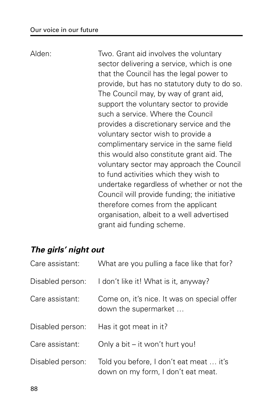Alden: Two. Grant aid involves the voluntary sector delivering a service, which is one that the Council has the legal power to provide, but has no statutory duty to do so. The Council may, by way of grant aid, support the voluntary sector to provide such a service. Where the Council provides a discretionary service and the voluntary sector wish to provide a complimentary service in the same field this would also constitute grant aid. The voluntary sector may approach the Council to fund activities which they wish to undertake regardless of whether or not the Council will provide funding; the initiative therefore comes from the applicant organisation, albeit to a well advertised grant aid funding scheme.

## **The girls' night out**

| Care assistant:  | What are you pulling a face like that for?                                    |
|------------------|-------------------------------------------------------------------------------|
| Disabled person: | I don't like it! What is it, anyway?                                          |
| Care assistant:  | Come on, it's nice. It was on special offer<br>down the supermarket           |
| Disabled person: | Has it got meat in it?                                                        |
| Care assistant:  | Only a bit – it won't hurt you!                                               |
| Disabled person: | Told you before, I don't eat meat  it's<br>down on my form, I don't eat meat. |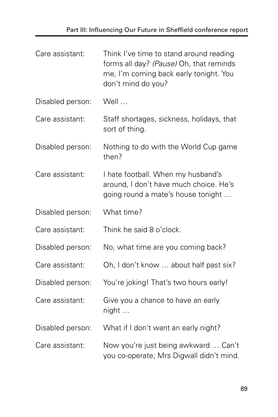| Care assistant:  | Think I've time to stand around reading<br>forms all day? (Pause) Oh, that reminds<br>me, I'm coming back early tonight. You<br>don't mind do you? |
|------------------|----------------------------------------------------------------------------------------------------------------------------------------------------|
| Disabled person: | Well                                                                                                                                               |
| Care assistant:  | Staff shortages, sickness, holidays, that<br>sort of thing.                                                                                        |
| Disabled person: | Nothing to do with the World Cup game<br>then?                                                                                                     |
| Care assistant:  | I hate football. When my husband's<br>around, I don't have much choice. He's<br>going round a mate's house tonight                                 |
| Disabled person: | What time?                                                                                                                                         |
| Care assistant:  | Think he said 8 o'clock.                                                                                                                           |
| Disabled person: | No, what time are you coming back?                                                                                                                 |
| Care assistant:  | Oh, I don't know  about half past six?                                                                                                             |
| Disabled person: | You're joking! That's two hours early!                                                                                                             |
| Care assistant:  | Give you a chance to have an early<br>night                                                                                                        |
| Disabled person: | What if I don't want an early night?                                                                                                               |
| Care assistant:  | Now you're just being awkward  Can't<br>you co-operate; Mrs Digwall didn't mind.                                                                   |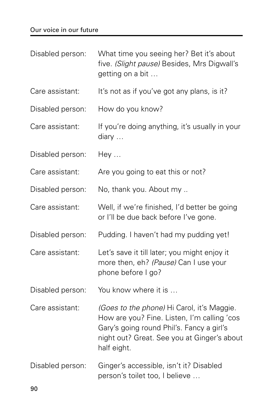#### Our voice in our future

| Disabled person: | What time you seeing her? Bet it's about<br>five. (Slight pause) Besides, Mrs Digwall's<br>getting on a bit                                                                                          |
|------------------|------------------------------------------------------------------------------------------------------------------------------------------------------------------------------------------------------|
| Care assistant:  | It's not as if you've got any plans, is it?                                                                                                                                                          |
| Disabled person: | How do you know?                                                                                                                                                                                     |
| Care assistant:  | If you're doing anything, it's usually in your<br>diary                                                                                                                                              |
| Disabled person: | Hey                                                                                                                                                                                                  |
| Care assistant:  | Are you going to eat this or not?                                                                                                                                                                    |
| Disabled person: | No, thank you. About my                                                                                                                                                                              |
| Care assistant:  | Well, if we're finished, I'd better be going<br>or I'll be due back before I've gone.                                                                                                                |
| Disabled person: | Pudding. I haven't had my pudding yet!                                                                                                                                                               |
| Care assistant:  | Let's save it till later; you might enjoy it<br>more then, eh? (Pause) Can I use your<br>phone before I go?                                                                                          |
| Disabled person: | You know where it is                                                                                                                                                                                 |
| Care assistant:  | (Goes to the phone) Hi Carol, it's Maggie.<br>How are you? Fine. Listen, I'm calling 'cos<br>Gary's going round Phil's. Fancy a girl's<br>night out? Great. See you at Ginger's about<br>half eight. |
| Disabled person: | Ginger's accessible, isn't it? Disabled<br>person's toilet too, I believe                                                                                                                            |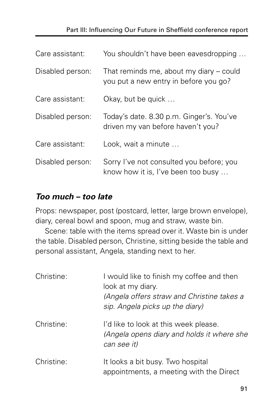#### Part III: Influencing Our Future in Sheffield conference report

| Care assistant:  | You shouldn't have been eavesdropping                                            |
|------------------|----------------------------------------------------------------------------------|
| Disabled person: | That reminds me, about my diary – could<br>you put a new entry in before you go? |
| Care assistant:  | Okay, but be quick                                                               |
| Disabled person: | Today's date. 8.30 p.m. Ginger's. You've<br>driven my van before haven't you?    |
| Care assistant:  | Look, wait a minute                                                              |
| Disabled person: | Sorry I've not consulted you before; you<br>know how it is, I've been too busy   |

## **Too much – too late**

Props: newspaper, post (postcard, letter, large brown envelope), diary, cereal bowl and spoon, mug and straw, waste bin.

Scene: table with the items spread over it. Waste bin is under the table. Disabled person, Christine, sitting beside the table and personal assistant, Angela, standing next to her.

| Christine: | I would like to finish my coffee and then<br>look at my diary.<br>(Angela offers straw and Christine takes a<br>sip. Angela picks up the diary) |
|------------|-------------------------------------------------------------------------------------------------------------------------------------------------|
| Christine: | I'd like to look at this week please.<br>(Angela opens diary and holds it where she<br>can see it)                                              |
| Christine: | It looks a bit busy. Two hospital<br>appointments, a meeting with the Direct                                                                    |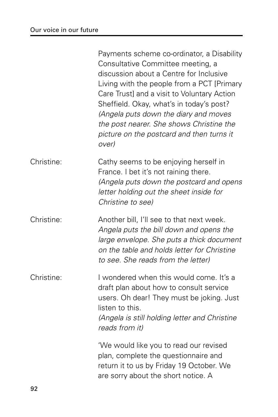|            | Payments scheme co-ordinator, a Disability<br>Consultative Committee meeting, a<br>discussion about a Centre for Inclusive<br>Living with the people from a PCT [Primary<br>Care Trust] and a visit to Voluntary Action<br>Sheffield. Okay, what's in today's post?<br>(Angela puts down the diary and moves<br>the post nearer. She shows Christine the<br>picture on the postcard and then turns it<br>over) |
|------------|----------------------------------------------------------------------------------------------------------------------------------------------------------------------------------------------------------------------------------------------------------------------------------------------------------------------------------------------------------------------------------------------------------------|
| Christine: | Cathy seems to be enjoying herself in<br>France. I bet it's not raining there.<br>(Angela puts down the postcard and opens<br>letter holding out the sheet inside for<br>Christine to see)                                                                                                                                                                                                                     |
| Christine: | Another bill, I'll see to that next week.<br>Angela puts the bill down and opens the<br>large envelope. She puts a thick document<br>on the table and holds letter for Christine<br>to see. She reads from the letter)                                                                                                                                                                                         |
| Christine: | I wondered when this would come. It's a<br>draft plan about how to consult service<br>users. Oh dear! They must be joking. Just<br>listen to this.<br>(Angela is still holding letter and Christine<br>reads from it)                                                                                                                                                                                          |
|            | 'We would like you to read our revised<br>plan, complete the questionnaire and<br>return it to us by Friday 19 October. We<br>are sorry about the short notice. A                                                                                                                                                                                                                                              |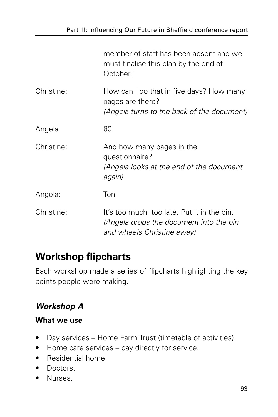|            | member of staff has been absent and we<br>must finalise this plan by the end of<br>October.'                         |
|------------|----------------------------------------------------------------------------------------------------------------------|
| Christine: | How can I do that in five days? How many<br>pages are there?<br>(Angela turns to the back of the document)           |
| Angela:    | 60.                                                                                                                  |
| Christine: | And how many pages in the<br>questionnaire?<br>(Angela looks at the end of the document<br>again)                    |
| Angela:    | Ten                                                                                                                  |
| Christine: | It's too much, too late. Put it in the bin.<br>(Angela drops the document into the bin<br>and wheels Christine away) |

# **Workshop flipcharts**

Each workshop made a series of flipcharts highlighting the key points people were making.

# **Workshop A**

#### **What we use**

- Day services Home Farm Trust (timetable of activities).
- Home care services pay directly for service.
- Residential home.
- Doctors.
- Nurses.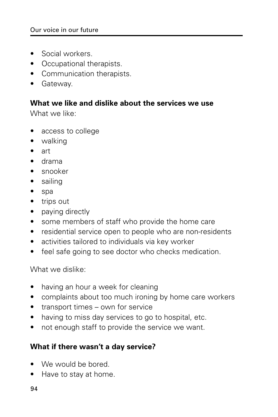- Social workers.
- Occupational therapists.
- Communication therapists.
- Gateway.

#### **What we like and dislike about the services we use**

What we like:

- access to college
- walking
- art
- drama
- snooker
- sailing
- spa
- trips out
- paying directly
- some members of staff who provide the home care
- residential service open to people who are non-residents
- activities tailored to individuals via key worker
- feel safe going to see doctor who checks medication.

What we dislike:

- having an hour a week for cleaning
- complaints about too much ironing by home care workers
- transport times own for service
- having to miss day services to go to hospital, etc.
- not enough staff to provide the service we want.

#### **What if there wasn't a day service?**

- We would be bored.
- Have to stay at home.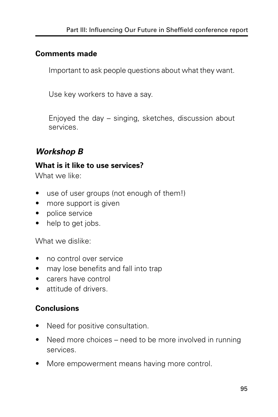#### **Comments made**

Important to ask people questions about what they want.

Use key workers to have a say.

Enjoyed the day – singing, sketches, discussion about services.

## **Workshop B**

#### **What is it like to use services?**

What we like:

- use of user groups (not enough of them!)
- more support is given
- police service
- help to get jobs.

What we dislike:

- no control over service
- may lose benefits and fall into trap
- carers have control
- attitude of drivers.

## **Conclusions**

- Need for positive consultation.
- Need more choices need to be more involved in running services.
- More empowerment means having more control.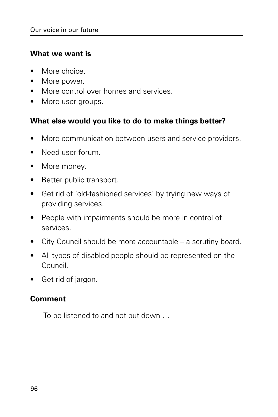#### **What we want is**

- More choice
- More power.
- More control over homes and services.
- More user groups.

#### **What else would you like to do to make things better?**

- More communication between users and service providers.
- Need user forum.
- More money.
- Better public transport.
- Get rid of 'old-fashioned services' by trying new ways of providing services.
- People with impairments should be more in control of services.
- City Council should be more accountable a scrutiny board.
- All types of disabled people should be represented on the Council.
- Get rid of jargon.

#### **Comment**

To be listened to and not put down …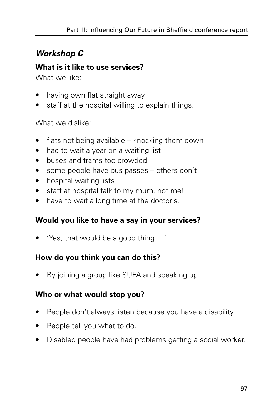# **Workshop C**

#### **What is it like to use services?**

What we like:

- having own flat straight away
- staff at the hospital willing to explain things.

What we dislike:

- flats not being available knocking them down
- had to wait a year on a waiting list
- buses and trams too crowded
- some people have bus passes others don't
- hospital waiting lists
- staff at hospital talk to my mum, not me!
- have to wait a long time at the doctor's.

## **Would you like to have a say in your services?**

• 'Yes, that would be a good thing …'

## **How do you think you can do this?**

• By joining a group like SUFA and speaking up.

## **Who or what would stop you?**

- People don't always listen because you have a disability.
- People tell you what to do.
- Disabled people have had problems getting a social worker.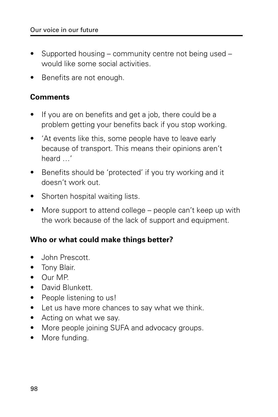- Supported housing community centre not being used would like some social activities.
- Benefits are not enough.

#### **Comments**

- If you are on benefits and get a job, there could be a problem getting your benefits back if you stop working.
- 'At events like this, some people have to leave early because of transport. This means their opinions aren't heard …'
- Benefits should be 'protected' if you try working and it doesn't work out.
- Shorten hospital waiting lists.
- More support to attend college people can't keep up with the work because of the lack of support and equipment.

#### **Who or what could make things better?**

- John Prescott.
- Tony Blair.
- Our MP.
- David Blunkett.
- People listening to us!
- Let us have more chances to say what we think.
- Acting on what we say.
- More people joining SUFA and advocacy groups.
- More funding.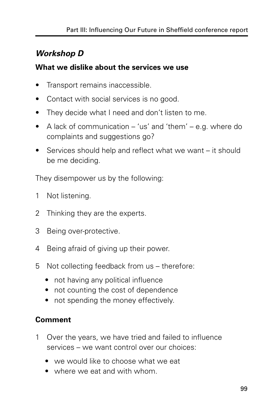## **Workshop D**

#### **What we dislike about the services we use**

- Transport remains inaccessible.
- Contact with social services is no good.
- They decide what I need and don't listen to me.
- A lack of communication 'us' and 'them' e.g. where do complaints and suggestions go?
- Services should help and reflect what we want it should be me deciding.

They disempower us by the following:

- 1 Not listening.
- 2 Thinking they are the experts.
- 3 Being over-protective.
- 4 Being afraid of giving up their power.
- 5 Not collecting feedback from us therefore:
	- not having any political influence
	- not counting the cost of dependence
	- not spending the money effectively.

## **Comment**

- 1 Over the years, we have tried and failed to influence services – we want control over our choices:
	- we would like to choose what we eat
	- where we eat and with whom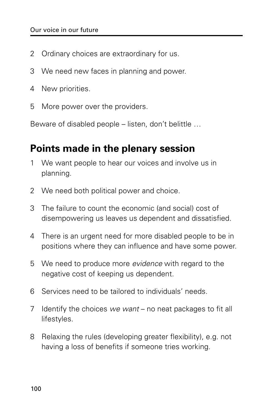- 2 Ordinary choices are extraordinary for us.
- 3 We need new faces in planning and power.
- 4 New priorities.
- 5 More power over the providers.

Beware of disabled people – listen, don't belittle …

## **Points made in the plenary session**

- 1 We want people to hear our voices and involve us in planning.
- 2 We need both political power and choice.
- 3 The failure to count the economic (and social) cost of disempowering us leaves us dependent and dissatisfied.
- 4 There is an urgent need for more disabled people to be in positions where they can influence and have some power.
- 5 We need to produce more *evidence* with regard to the negative cost of keeping us dependent.
- 6 Services need to be tailored to individuals' needs.
- 7 Identify the choices we want no neat packages to fit all lifestyles.
- 8 Relaxing the rules (developing greater flexibility), e.g. not having a loss of benefits if someone tries working.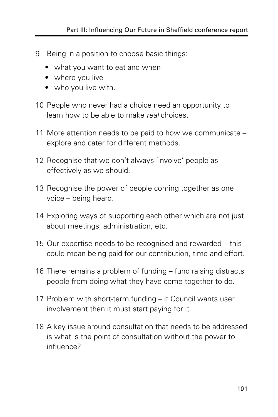- 9 Being in a position to choose basic things:
	- what you want to eat and when
	- where you live
	- who you live with.
- 10 People who never had a choice need an opportunity to learn how to be able to make real choices.
- 11 More attention needs to be paid to how we communicate explore and cater for different methods.
- 12 Recognise that we don't always 'involve' people as effectively as we should.
- 13 Recognise the power of people coming together as one voice – being heard.
- 14 Exploring ways of supporting each other which are not just about meetings, administration, etc.
- 15 Our expertise needs to be recognised and rewarded this could mean being paid for our contribution, time and effort.
- 16 There remains a problem of funding fund raising distracts people from doing what they have come together to do.
- 17 Problem with short-term funding if Council wants user involvement then it must start paying for it.
- 18 A key issue around consultation that needs to be addressed is what is the point of consultation without the power to influence?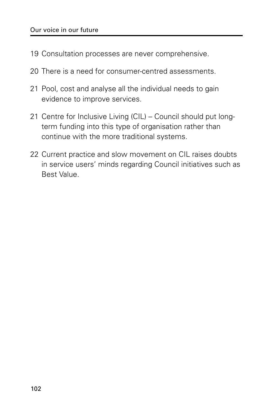- 19 Consultation processes are never comprehensive.
- 20 There is a need for consumer-centred assessments.
- 21 Pool, cost and analyse all the individual needs to gain evidence to improve services.
- 21 Centre for Inclusive Living (CIL) Council should put longterm funding into this type of organisation rather than continue with the more traditional systems.
- 22 Current practice and slow movement on CIL raises doubts in service users' minds regarding Council initiatives such as Best Value.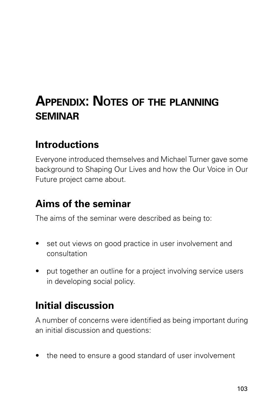# **APPENDIX: NOTES OF THE PLANNING SEMINAR**

## **Introductions**

Everyone introduced themselves and Michael Turner gave some background to Shaping Our Lives and how the Our Voice in Our Future project came about.

## **Aims of the seminar**

The aims of the seminar were described as being to:

- set out views on good practice in user involvement and consultation
- put together an outline for a project involving service users in developing social policy.

## **Initial discussion**

A number of concerns were identified as being important during an initial discussion and questions:

• the need to ensure a good standard of user involvement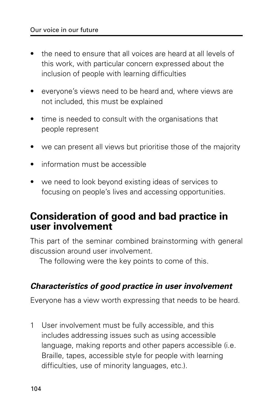- the need to ensure that all voices are heard at all levels of this work, with particular concern expressed about the inclusion of people with learning difficulties
- everyone's views need to be heard and, where views are not included, this must be explained
- time is needed to consult with the organisations that people represent
- we can present all views but prioritise those of the majority
- information must be accessible
- we need to look beyond existing ideas of services to focusing on people's lives and accessing opportunities.

### **Consideration of good and bad practice in user involvement**

This part of the seminar combined brainstorming with general discussion around user involvement.

The following were the key points to come of this.

#### **Characteristics of good practice in user involvement**

Everyone has a view worth expressing that needs to be heard.

1 User involvement must be fully accessible, and this includes addressing issues such as using accessible language, making reports and other papers accessible (i.e. Braille, tapes, accessible style for people with learning difficulties, use of minority languages, etc.).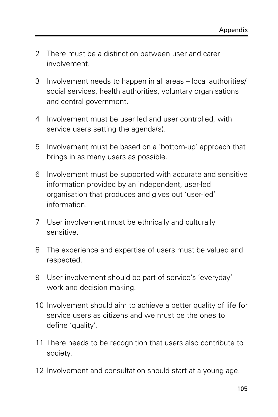- 2 There must be a distinction between user and carer involvement.
- 3 Involvement needs to happen in all areas local authorities/ social services, health authorities, voluntary organisations and central government.
- 4 Involvement must be user led and user controlled, with service users setting the agenda(s).
- 5 Involvement must be based on a 'bottom-up' approach that brings in as many users as possible.
- 6 Involvement must be supported with accurate and sensitive information provided by an independent, user-led organisation that produces and gives out 'user-led' information.
- 7 User involvement must be ethnically and culturally sensitive.
- 8 The experience and expertise of users must be valued and respected.
- 9 User involvement should be part of service's 'everyday' work and decision making.
- 10 Involvement should aim to achieve a better quality of life for service users as citizens and we must be the ones to define 'quality'.
- 11 There needs to be recognition that users also contribute to society.
- 12 Involvement and consultation should start at a young age.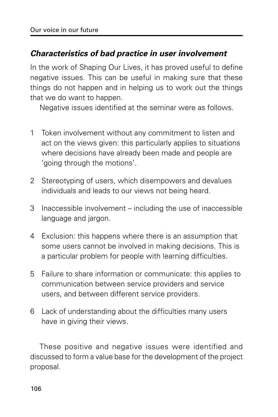#### **Characteristics of bad practice in user involvement**

In the work of Shaping Our Lives, it has proved useful to define negative issues. This can be useful in making sure that these things do not happen and in helping us to work out the things that we do want to happen.

Negative issues identified at the seminar were as follows.

- 1 Token involvement without any commitment to listen and act on the views given: this particularly applies to situations where decisions have already been made and people are 'going through the motions'.
- 2 Stereotyping of users, which disempowers and devalues individuals and leads to our views not being heard.
- 3 Inaccessible involvement including the use of inaccessible language and jargon.
- 4 Exclusion: this happens where there is an assumption that some users cannot be involved in making decisions. This is a particular problem for people with learning difficulties.
- 5 Failure to share information or communicate: this applies to communication between service providers and service users, and between different service providers.
- 6 Lack of understanding about the difficulties many users have in giving their views.

These positive and negative issues were identified and discussed to form a value base for the development of the project proposal.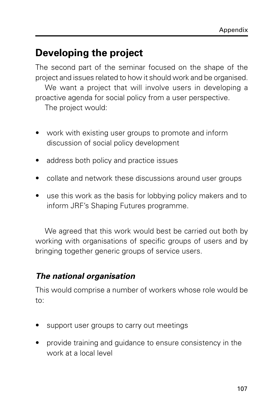## **Developing the project**

The second part of the seminar focused on the shape of the project and issues related to how it should work and be organised.

We want a project that will involve users in developing a proactive agenda for social policy from a user perspective.

The project would:

- work with existing user groups to promote and inform discussion of social policy development
- address both policy and practice issues
- collate and network these discussions around user groups
- use this work as the basis for lobbying policy makers and to inform JRF's Shaping Futures programme.

We agreed that this work would best be carried out both by working with organisations of specific groups of users and by bringing together generic groups of service users.

### **The national organisation**

This would comprise a number of workers whose role would be to:

- support user groups to carry out meetings
- provide training and guidance to ensure consistency in the work at a local level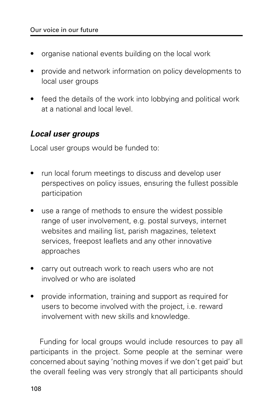- organise national events building on the local work
- provide and network information on policy developments to local user groups
- feed the details of the work into lobbying and political work at a national and local level.

#### **Local user groups**

Local user groups would be funded to:

- run local forum meetings to discuss and develop user perspectives on policy issues, ensuring the fullest possible participation
- use a range of methods to ensure the widest possible range of user involvement, e.g. postal surveys, internet websites and mailing list, parish magazines, teletext services, freepost leaflets and any other innovative approaches
- carry out outreach work to reach users who are not involved or who are isolated
- provide information, training and support as required for users to become involved with the project, i.e. reward involvement with new skills and knowledge.

Funding for local groups would include resources to pay all participants in the project. Some people at the seminar were concerned about saying 'nothing moves if we don't get paid' but the overall feeling was very strongly that all participants should